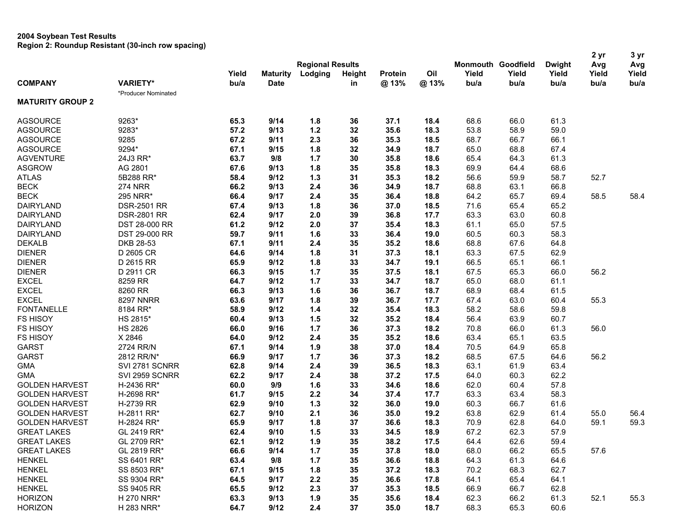| <b>Regional Results</b><br><b>Monmouth Goodfield</b><br><b>Dwight</b><br>Avg<br>Avg<br>Yield<br>Oil<br>Yield<br>Yield<br>Yield<br>Yield<br>Yield<br><b>Maturity</b><br>Lodging<br><b>Height</b><br><b>Protein</b><br><b>COMPANY</b><br><b>VARIETY*</b><br>bu/a<br><b>Date</b><br>@13%<br>@13%<br>bu/a<br>bu/a<br>bu/a<br>bu/a<br>bu/a<br>in<br>*Producer Nominated<br><b>MATURITY GROUP 2</b><br>9263*<br>9/14<br>61.3<br><b>AGSOURCE</b><br>65.3<br>1.8<br>36<br>37.1<br>18.4<br>68.6<br>66.0<br>9283*<br>57.2<br>9/13<br>$1.2$<br>32<br>35.6<br>18.3<br>53.8<br>58.9<br>59.0<br><b>AGSOURCE</b><br>9285<br>2.3<br>36<br>66.7<br><b>AGSOURCE</b><br>67.2<br>9/11<br>35.3<br>18.5<br>68.7<br>66.1<br>9294*<br>32<br>65.0<br>68.8<br>67.4<br><b>AGSOURCE</b><br>67.1<br>9/15<br>1.8<br>34.9<br>18.7<br><b>AGVENTURE</b><br>24J3 RR*<br>63.7<br>9/8<br>$1.7$<br>30<br>18.6<br>65.4<br>64.3<br>61.3<br>35.8<br>AG 2801<br>1.8<br>35<br>69.9<br>68.6<br><b>ASGROW</b><br>67.6<br>9/13<br>35.8<br>18.3<br>64.4<br>59.9<br>52.7<br><b>ATLAS</b><br>5B288 RR*<br>58.4<br>9/12<br>1.3<br>31<br>35.3<br>18.2<br>56.6<br>58.7<br><b>BECK</b><br><b>274 NRR</b><br>66.2<br>9/13<br>2.4<br>36<br>18.7<br>63.1<br>66.8<br>34.9<br>68.8<br><b>BECK</b><br>35<br>65.7<br>58.5<br>295 NRR*<br>66.4<br>9/17<br>2.4<br>36.4<br>18.8<br>64.2<br>69.4<br>58.4<br>1.8<br>36<br>18.5<br>71.6<br>65.4<br>65.2<br>DAIRYLAND<br><b>DSR-2501 RR</b><br>67.4<br>9/13<br>37.0<br><b>DSR-2801 RR</b><br>2.0<br>39<br>17.7<br>63.3<br>63.0<br>60.8<br><b>DAIRYLAND</b><br>62.4<br>9/17<br>36.8<br><b>DAIRYLAND</b><br>61.2<br>2.0<br>37<br>18.3<br>61.1<br>65.0<br>57.5<br>DST 28-000 RR<br>9/12<br>35.4<br>60.3<br>58.3<br><b>DAIRYLAND</b><br>DST 29-000 RR<br>59.7<br>9/11<br>1.6<br>33<br>36.4<br>19.0<br>60.5<br>35<br><b>DEKALB</b><br>DKB 28-53<br>67.1<br>9/11<br>2.4<br>35.2<br>18.6<br>68.8<br>67.6<br>64.8<br>62.9<br><b>DIENER</b><br>D 2605 CR<br>64.6<br>9/14<br>1.8<br>31<br>37.3<br>18.1<br>63.3<br>67.5<br><b>DIENER</b><br>D 2615 RR<br>1.8<br>33<br>34.7<br>19.1<br>66.5<br>65.1<br>66.1<br>65.9<br>9/12<br>$1.7$<br>35<br>67.5<br>65.3<br>66.0<br>56.2<br><b>DIENER</b><br>D 2911 CR<br>66.3<br>9/15<br>37.5<br>18.1<br><b>EXCEL</b><br>8259 RR<br>33<br>65.0<br>68.0<br>64.7<br>9/12<br>1.7<br>34.7<br>18.7<br>61.1<br><b>EXCEL</b><br>8260 RR<br>9/13<br>1.6<br>36<br>36.7<br>18.7<br>68.4<br>66.3<br>68.9<br>61.5<br><b>EXCEL</b><br>1.8<br>39<br>67.4<br>63.0<br>60.4<br>55.3<br><b>8297 NNRR</b><br>63.6<br>9/17<br>36.7<br>17.7<br><b>FONTANELLE</b><br>$1.4$<br>32<br>18.3<br>58.2<br>58.6<br>59.8<br>8184 RR*<br>58.9<br>9/12<br>35.4<br><b>FS HISOY</b><br>1.5<br>32<br>56.4<br>63.9<br>60.7<br>HS 2815*<br>60.4<br>9/13<br>35.2<br>18.4<br><b>FS HISOY</b><br><b>HS 2826</b><br>$1.7$<br>36<br>18.2<br>70.8<br>66.0<br>61.3<br>56.0<br>66.0<br>9/16<br>37.3<br><b>FS HISOY</b><br>X 2846<br>35<br>65.1<br>63.5<br>64.0<br>9/12<br>2.4<br>35.2<br>18.6<br>63.4<br>64.9<br><b>GARST</b><br>2724 RR/N<br>67.1<br>9/14<br>1.9<br>38<br>37.0<br>18.4<br>70.5<br>65.8<br><b>GARST</b><br>68.5<br>56.2<br>2812 RR/N*<br>66.9<br>9/17<br>1.7<br>36<br>37.3<br>18.2<br>67.5<br>64.6<br>2.4<br>39<br>18.3<br>61.9<br>63.4<br><b>GMA</b><br>SVI 2781 SCNRR<br>62.8<br>9/14<br>36.5<br>63.1<br>SVI 2959 SCNRR<br>2.4<br>38<br>17.5<br>60.3<br>62.2<br><b>GMA</b><br>62.2<br>9/17<br>37.2<br>64.0<br>57.8<br><b>GOLDEN HARVEST</b><br>H-2436 RR*<br>9/9<br>1.6<br>33<br>18.6<br>60.4<br>60.0<br>34.6<br>62.0<br>H-2698 RR*<br>2.2<br>17.7<br>63.3<br>63.4<br>58.3<br><b>GOLDEN HARVEST</b><br>61.7<br>9/15<br>34<br>37.4<br>$1.3$<br>66.7<br>H-2739 RR<br>62.9<br>9/10<br>32<br>36.0<br>19.0<br>60.3<br>61.6<br><b>GOLDEN HARVEST</b><br>36<br>19.2<br>62.9<br>H-2811 RR*<br>62.7<br>9/10<br>2.1<br>35.0<br>63.8<br>61.4<br>55.0<br>56.4<br><b>GOLDEN HARVEST</b><br>1.8<br>37<br>18.3<br>70.9<br>62.8<br>59.1<br>59.3<br><b>GOLDEN HARVEST</b><br>H-2824 RR*<br>65.9<br>9/17<br>36.6<br>64.0<br>1.5<br>67.2<br>62.3<br>57.9<br><b>GREAT LAKES</b><br>62.4<br>9/10<br>33<br>34.5<br>18.9<br>GL 2419 RR*<br><b>GREAT LAKES</b><br>GL 2709 RR*<br>9/12<br>1.9<br>17.5<br>64.4<br>62.6<br>59.4<br>62.1<br>35<br>38.2<br><b>GREAT LAKES</b><br>GL 2819 RR*<br>66.6<br>9/14<br>37.8<br>18.0<br>68.0<br>66.2<br>65.5<br>57.6<br>1.7<br>35<br><b>HENKEL</b><br>SS 6401 RR*<br>63.4<br>9/8<br>36.6<br>64.3<br>61.3<br>64.6<br>1.7<br>35<br>18.8<br>62.7<br><b>HENKEL</b><br>SS 8503 RR*<br>67.1<br>1.8<br>35<br>18.3<br>70.2<br>68.3<br>9/15<br>37.2<br><b>HENKEL</b><br>SS 9304 RR*<br>64.5<br>9/17<br>2.2<br>35<br>36.6<br>17.8<br>64.1<br>65.4<br>64.1<br><b>HENKEL</b><br>SS 9405 RR<br>65.5<br>2.3<br>37<br>18.5<br>66.9<br>66.7<br>62.8<br>9/12<br>35.3<br><b>HORIZON</b><br>H 270 NRR*<br>63.3<br>9/13<br>35<br>18.4<br>62.3<br>66.2<br>61.3<br>52.1<br>55.3<br>1.9<br>35.6<br>64.7<br><b>HORIZON</b><br>H 283 NRR*<br>9/12<br>2.4<br>37<br>35.0<br>18.7<br>68.3<br>65.3<br>60.6 |  |  |  |  |  | 2 yr | 3 yr |
|--------------------------------------------------------------------------------------------------------------------------------------------------------------------------------------------------------------------------------------------------------------------------------------------------------------------------------------------------------------------------------------------------------------------------------------------------------------------------------------------------------------------------------------------------------------------------------------------------------------------------------------------------------------------------------------------------------------------------------------------------------------------------------------------------------------------------------------------------------------------------------------------------------------------------------------------------------------------------------------------------------------------------------------------------------------------------------------------------------------------------------------------------------------------------------------------------------------------------------------------------------------------------------------------------------------------------------------------------------------------------------------------------------------------------------------------------------------------------------------------------------------------------------------------------------------------------------------------------------------------------------------------------------------------------------------------------------------------------------------------------------------------------------------------------------------------------------------------------------------------------------------------------------------------------------------------------------------------------------------------------------------------------------------------------------------------------------------------------------------------------------------------------------------------------------------------------------------------------------------------------------------------------------------------------------------------------------------------------------------------------------------------------------------------------------------------------------------------------------------------------------------------------------------------------------------------------------------------------------------------------------------------------------------------------------------------------------------------------------------------------------------------------------------------------------------------------------------------------------------------------------------------------------------------------------------------------------------------------------------------------------------------------------------------------------------------------------------------------------------------------------------------------------------------------------------------------------------------------------------------------------------------------------------------------------------------------------------------------------------------------------------------------------------------------------------------------------------------------------------------------------------------------------------------------------------------------------------------------------------------------------------------------------------------------------------------------------------------------------------------------------------------------------------------------------------------------------------------------------------------------------------------------------------------------------------------------------------------------------------------------------------------------------------------------------------------------------------------------------------------------------------------------------------------------------------------------------------------------------------------------------------------------------------------------------------------------------------------------------------------------------------------------------------------------------------------------------------------------------------------------------------------------------------------------------------------------------------------------------------------------------------------------------------------------------------------------------------------------------------------------------------------------------------------------------------------------------------------------------------------------------------------------------------------------------------------------------------------|--|--|--|--|--|------|------|
|                                                                                                                                                                                                                                                                                                                                                                                                                                                                                                                                                                                                                                                                                                                                                                                                                                                                                                                                                                                                                                                                                                                                                                                                                                                                                                                                                                                                                                                                                                                                                                                                                                                                                                                                                                                                                                                                                                                                                                                                                                                                                                                                                                                                                                                                                                                                                                                                                                                                                                                                                                                                                                                                                                                                                                                                                                                                                                                                                                                                                                                                                                                                                                                                                                                                                                                                                                                                                                                                                                                                                                                                                                                                                                                                                                                                                                                                                                                                                                                                                                                                                                                                                                                                                                                                                                                                                                                                                                                                                                                                                                                                                                                                                                                                                                                                                                                                                                                                                                    |  |  |  |  |  |      |      |
|                                                                                                                                                                                                                                                                                                                                                                                                                                                                                                                                                                                                                                                                                                                                                                                                                                                                                                                                                                                                                                                                                                                                                                                                                                                                                                                                                                                                                                                                                                                                                                                                                                                                                                                                                                                                                                                                                                                                                                                                                                                                                                                                                                                                                                                                                                                                                                                                                                                                                                                                                                                                                                                                                                                                                                                                                                                                                                                                                                                                                                                                                                                                                                                                                                                                                                                                                                                                                                                                                                                                                                                                                                                                                                                                                                                                                                                                                                                                                                                                                                                                                                                                                                                                                                                                                                                                                                                                                                                                                                                                                                                                                                                                                                                                                                                                                                                                                                                                                                    |  |  |  |  |  |      |      |
|                                                                                                                                                                                                                                                                                                                                                                                                                                                                                                                                                                                                                                                                                                                                                                                                                                                                                                                                                                                                                                                                                                                                                                                                                                                                                                                                                                                                                                                                                                                                                                                                                                                                                                                                                                                                                                                                                                                                                                                                                                                                                                                                                                                                                                                                                                                                                                                                                                                                                                                                                                                                                                                                                                                                                                                                                                                                                                                                                                                                                                                                                                                                                                                                                                                                                                                                                                                                                                                                                                                                                                                                                                                                                                                                                                                                                                                                                                                                                                                                                                                                                                                                                                                                                                                                                                                                                                                                                                                                                                                                                                                                                                                                                                                                                                                                                                                                                                                                                                    |  |  |  |  |  |      |      |
|                                                                                                                                                                                                                                                                                                                                                                                                                                                                                                                                                                                                                                                                                                                                                                                                                                                                                                                                                                                                                                                                                                                                                                                                                                                                                                                                                                                                                                                                                                                                                                                                                                                                                                                                                                                                                                                                                                                                                                                                                                                                                                                                                                                                                                                                                                                                                                                                                                                                                                                                                                                                                                                                                                                                                                                                                                                                                                                                                                                                                                                                                                                                                                                                                                                                                                                                                                                                                                                                                                                                                                                                                                                                                                                                                                                                                                                                                                                                                                                                                                                                                                                                                                                                                                                                                                                                                                                                                                                                                                                                                                                                                                                                                                                                                                                                                                                                                                                                                                    |  |  |  |  |  |      |      |
|                                                                                                                                                                                                                                                                                                                                                                                                                                                                                                                                                                                                                                                                                                                                                                                                                                                                                                                                                                                                                                                                                                                                                                                                                                                                                                                                                                                                                                                                                                                                                                                                                                                                                                                                                                                                                                                                                                                                                                                                                                                                                                                                                                                                                                                                                                                                                                                                                                                                                                                                                                                                                                                                                                                                                                                                                                                                                                                                                                                                                                                                                                                                                                                                                                                                                                                                                                                                                                                                                                                                                                                                                                                                                                                                                                                                                                                                                                                                                                                                                                                                                                                                                                                                                                                                                                                                                                                                                                                                                                                                                                                                                                                                                                                                                                                                                                                                                                                                                                    |  |  |  |  |  |      |      |
|                                                                                                                                                                                                                                                                                                                                                                                                                                                                                                                                                                                                                                                                                                                                                                                                                                                                                                                                                                                                                                                                                                                                                                                                                                                                                                                                                                                                                                                                                                                                                                                                                                                                                                                                                                                                                                                                                                                                                                                                                                                                                                                                                                                                                                                                                                                                                                                                                                                                                                                                                                                                                                                                                                                                                                                                                                                                                                                                                                                                                                                                                                                                                                                                                                                                                                                                                                                                                                                                                                                                                                                                                                                                                                                                                                                                                                                                                                                                                                                                                                                                                                                                                                                                                                                                                                                                                                                                                                                                                                                                                                                                                                                                                                                                                                                                                                                                                                                                                                    |  |  |  |  |  |      |      |
|                                                                                                                                                                                                                                                                                                                                                                                                                                                                                                                                                                                                                                                                                                                                                                                                                                                                                                                                                                                                                                                                                                                                                                                                                                                                                                                                                                                                                                                                                                                                                                                                                                                                                                                                                                                                                                                                                                                                                                                                                                                                                                                                                                                                                                                                                                                                                                                                                                                                                                                                                                                                                                                                                                                                                                                                                                                                                                                                                                                                                                                                                                                                                                                                                                                                                                                                                                                                                                                                                                                                                                                                                                                                                                                                                                                                                                                                                                                                                                                                                                                                                                                                                                                                                                                                                                                                                                                                                                                                                                                                                                                                                                                                                                                                                                                                                                                                                                                                                                    |  |  |  |  |  |      |      |
|                                                                                                                                                                                                                                                                                                                                                                                                                                                                                                                                                                                                                                                                                                                                                                                                                                                                                                                                                                                                                                                                                                                                                                                                                                                                                                                                                                                                                                                                                                                                                                                                                                                                                                                                                                                                                                                                                                                                                                                                                                                                                                                                                                                                                                                                                                                                                                                                                                                                                                                                                                                                                                                                                                                                                                                                                                                                                                                                                                                                                                                                                                                                                                                                                                                                                                                                                                                                                                                                                                                                                                                                                                                                                                                                                                                                                                                                                                                                                                                                                                                                                                                                                                                                                                                                                                                                                                                                                                                                                                                                                                                                                                                                                                                                                                                                                                                                                                                                                                    |  |  |  |  |  |      |      |
|                                                                                                                                                                                                                                                                                                                                                                                                                                                                                                                                                                                                                                                                                                                                                                                                                                                                                                                                                                                                                                                                                                                                                                                                                                                                                                                                                                                                                                                                                                                                                                                                                                                                                                                                                                                                                                                                                                                                                                                                                                                                                                                                                                                                                                                                                                                                                                                                                                                                                                                                                                                                                                                                                                                                                                                                                                                                                                                                                                                                                                                                                                                                                                                                                                                                                                                                                                                                                                                                                                                                                                                                                                                                                                                                                                                                                                                                                                                                                                                                                                                                                                                                                                                                                                                                                                                                                                                                                                                                                                                                                                                                                                                                                                                                                                                                                                                                                                                                                                    |  |  |  |  |  |      |      |
|                                                                                                                                                                                                                                                                                                                                                                                                                                                                                                                                                                                                                                                                                                                                                                                                                                                                                                                                                                                                                                                                                                                                                                                                                                                                                                                                                                                                                                                                                                                                                                                                                                                                                                                                                                                                                                                                                                                                                                                                                                                                                                                                                                                                                                                                                                                                                                                                                                                                                                                                                                                                                                                                                                                                                                                                                                                                                                                                                                                                                                                                                                                                                                                                                                                                                                                                                                                                                                                                                                                                                                                                                                                                                                                                                                                                                                                                                                                                                                                                                                                                                                                                                                                                                                                                                                                                                                                                                                                                                                                                                                                                                                                                                                                                                                                                                                                                                                                                                                    |  |  |  |  |  |      |      |
|                                                                                                                                                                                                                                                                                                                                                                                                                                                                                                                                                                                                                                                                                                                                                                                                                                                                                                                                                                                                                                                                                                                                                                                                                                                                                                                                                                                                                                                                                                                                                                                                                                                                                                                                                                                                                                                                                                                                                                                                                                                                                                                                                                                                                                                                                                                                                                                                                                                                                                                                                                                                                                                                                                                                                                                                                                                                                                                                                                                                                                                                                                                                                                                                                                                                                                                                                                                                                                                                                                                                                                                                                                                                                                                                                                                                                                                                                                                                                                                                                                                                                                                                                                                                                                                                                                                                                                                                                                                                                                                                                                                                                                                                                                                                                                                                                                                                                                                                                                    |  |  |  |  |  |      |      |
|                                                                                                                                                                                                                                                                                                                                                                                                                                                                                                                                                                                                                                                                                                                                                                                                                                                                                                                                                                                                                                                                                                                                                                                                                                                                                                                                                                                                                                                                                                                                                                                                                                                                                                                                                                                                                                                                                                                                                                                                                                                                                                                                                                                                                                                                                                                                                                                                                                                                                                                                                                                                                                                                                                                                                                                                                                                                                                                                                                                                                                                                                                                                                                                                                                                                                                                                                                                                                                                                                                                                                                                                                                                                                                                                                                                                                                                                                                                                                                                                                                                                                                                                                                                                                                                                                                                                                                                                                                                                                                                                                                                                                                                                                                                                                                                                                                                                                                                                                                    |  |  |  |  |  |      |      |
|                                                                                                                                                                                                                                                                                                                                                                                                                                                                                                                                                                                                                                                                                                                                                                                                                                                                                                                                                                                                                                                                                                                                                                                                                                                                                                                                                                                                                                                                                                                                                                                                                                                                                                                                                                                                                                                                                                                                                                                                                                                                                                                                                                                                                                                                                                                                                                                                                                                                                                                                                                                                                                                                                                                                                                                                                                                                                                                                                                                                                                                                                                                                                                                                                                                                                                                                                                                                                                                                                                                                                                                                                                                                                                                                                                                                                                                                                                                                                                                                                                                                                                                                                                                                                                                                                                                                                                                                                                                                                                                                                                                                                                                                                                                                                                                                                                                                                                                                                                    |  |  |  |  |  |      |      |
|                                                                                                                                                                                                                                                                                                                                                                                                                                                                                                                                                                                                                                                                                                                                                                                                                                                                                                                                                                                                                                                                                                                                                                                                                                                                                                                                                                                                                                                                                                                                                                                                                                                                                                                                                                                                                                                                                                                                                                                                                                                                                                                                                                                                                                                                                                                                                                                                                                                                                                                                                                                                                                                                                                                                                                                                                                                                                                                                                                                                                                                                                                                                                                                                                                                                                                                                                                                                                                                                                                                                                                                                                                                                                                                                                                                                                                                                                                                                                                                                                                                                                                                                                                                                                                                                                                                                                                                                                                                                                                                                                                                                                                                                                                                                                                                                                                                                                                                                                                    |  |  |  |  |  |      |      |
|                                                                                                                                                                                                                                                                                                                                                                                                                                                                                                                                                                                                                                                                                                                                                                                                                                                                                                                                                                                                                                                                                                                                                                                                                                                                                                                                                                                                                                                                                                                                                                                                                                                                                                                                                                                                                                                                                                                                                                                                                                                                                                                                                                                                                                                                                                                                                                                                                                                                                                                                                                                                                                                                                                                                                                                                                                                                                                                                                                                                                                                                                                                                                                                                                                                                                                                                                                                                                                                                                                                                                                                                                                                                                                                                                                                                                                                                                                                                                                                                                                                                                                                                                                                                                                                                                                                                                                                                                                                                                                                                                                                                                                                                                                                                                                                                                                                                                                                                                                    |  |  |  |  |  |      |      |
|                                                                                                                                                                                                                                                                                                                                                                                                                                                                                                                                                                                                                                                                                                                                                                                                                                                                                                                                                                                                                                                                                                                                                                                                                                                                                                                                                                                                                                                                                                                                                                                                                                                                                                                                                                                                                                                                                                                                                                                                                                                                                                                                                                                                                                                                                                                                                                                                                                                                                                                                                                                                                                                                                                                                                                                                                                                                                                                                                                                                                                                                                                                                                                                                                                                                                                                                                                                                                                                                                                                                                                                                                                                                                                                                                                                                                                                                                                                                                                                                                                                                                                                                                                                                                                                                                                                                                                                                                                                                                                                                                                                                                                                                                                                                                                                                                                                                                                                                                                    |  |  |  |  |  |      |      |
|                                                                                                                                                                                                                                                                                                                                                                                                                                                                                                                                                                                                                                                                                                                                                                                                                                                                                                                                                                                                                                                                                                                                                                                                                                                                                                                                                                                                                                                                                                                                                                                                                                                                                                                                                                                                                                                                                                                                                                                                                                                                                                                                                                                                                                                                                                                                                                                                                                                                                                                                                                                                                                                                                                                                                                                                                                                                                                                                                                                                                                                                                                                                                                                                                                                                                                                                                                                                                                                                                                                                                                                                                                                                                                                                                                                                                                                                                                                                                                                                                                                                                                                                                                                                                                                                                                                                                                                                                                                                                                                                                                                                                                                                                                                                                                                                                                                                                                                                                                    |  |  |  |  |  |      |      |
|                                                                                                                                                                                                                                                                                                                                                                                                                                                                                                                                                                                                                                                                                                                                                                                                                                                                                                                                                                                                                                                                                                                                                                                                                                                                                                                                                                                                                                                                                                                                                                                                                                                                                                                                                                                                                                                                                                                                                                                                                                                                                                                                                                                                                                                                                                                                                                                                                                                                                                                                                                                                                                                                                                                                                                                                                                                                                                                                                                                                                                                                                                                                                                                                                                                                                                                                                                                                                                                                                                                                                                                                                                                                                                                                                                                                                                                                                                                                                                                                                                                                                                                                                                                                                                                                                                                                                                                                                                                                                                                                                                                                                                                                                                                                                                                                                                                                                                                                                                    |  |  |  |  |  |      |      |
|                                                                                                                                                                                                                                                                                                                                                                                                                                                                                                                                                                                                                                                                                                                                                                                                                                                                                                                                                                                                                                                                                                                                                                                                                                                                                                                                                                                                                                                                                                                                                                                                                                                                                                                                                                                                                                                                                                                                                                                                                                                                                                                                                                                                                                                                                                                                                                                                                                                                                                                                                                                                                                                                                                                                                                                                                                                                                                                                                                                                                                                                                                                                                                                                                                                                                                                                                                                                                                                                                                                                                                                                                                                                                                                                                                                                                                                                                                                                                                                                                                                                                                                                                                                                                                                                                                                                                                                                                                                                                                                                                                                                                                                                                                                                                                                                                                                                                                                                                                    |  |  |  |  |  |      |      |
|                                                                                                                                                                                                                                                                                                                                                                                                                                                                                                                                                                                                                                                                                                                                                                                                                                                                                                                                                                                                                                                                                                                                                                                                                                                                                                                                                                                                                                                                                                                                                                                                                                                                                                                                                                                                                                                                                                                                                                                                                                                                                                                                                                                                                                                                                                                                                                                                                                                                                                                                                                                                                                                                                                                                                                                                                                                                                                                                                                                                                                                                                                                                                                                                                                                                                                                                                                                                                                                                                                                                                                                                                                                                                                                                                                                                                                                                                                                                                                                                                                                                                                                                                                                                                                                                                                                                                                                                                                                                                                                                                                                                                                                                                                                                                                                                                                                                                                                                                                    |  |  |  |  |  |      |      |
|                                                                                                                                                                                                                                                                                                                                                                                                                                                                                                                                                                                                                                                                                                                                                                                                                                                                                                                                                                                                                                                                                                                                                                                                                                                                                                                                                                                                                                                                                                                                                                                                                                                                                                                                                                                                                                                                                                                                                                                                                                                                                                                                                                                                                                                                                                                                                                                                                                                                                                                                                                                                                                                                                                                                                                                                                                                                                                                                                                                                                                                                                                                                                                                                                                                                                                                                                                                                                                                                                                                                                                                                                                                                                                                                                                                                                                                                                                                                                                                                                                                                                                                                                                                                                                                                                                                                                                                                                                                                                                                                                                                                                                                                                                                                                                                                                                                                                                                                                                    |  |  |  |  |  |      |      |
|                                                                                                                                                                                                                                                                                                                                                                                                                                                                                                                                                                                                                                                                                                                                                                                                                                                                                                                                                                                                                                                                                                                                                                                                                                                                                                                                                                                                                                                                                                                                                                                                                                                                                                                                                                                                                                                                                                                                                                                                                                                                                                                                                                                                                                                                                                                                                                                                                                                                                                                                                                                                                                                                                                                                                                                                                                                                                                                                                                                                                                                                                                                                                                                                                                                                                                                                                                                                                                                                                                                                                                                                                                                                                                                                                                                                                                                                                                                                                                                                                                                                                                                                                                                                                                                                                                                                                                                                                                                                                                                                                                                                                                                                                                                                                                                                                                                                                                                                                                    |  |  |  |  |  |      |      |
|                                                                                                                                                                                                                                                                                                                                                                                                                                                                                                                                                                                                                                                                                                                                                                                                                                                                                                                                                                                                                                                                                                                                                                                                                                                                                                                                                                                                                                                                                                                                                                                                                                                                                                                                                                                                                                                                                                                                                                                                                                                                                                                                                                                                                                                                                                                                                                                                                                                                                                                                                                                                                                                                                                                                                                                                                                                                                                                                                                                                                                                                                                                                                                                                                                                                                                                                                                                                                                                                                                                                                                                                                                                                                                                                                                                                                                                                                                                                                                                                                                                                                                                                                                                                                                                                                                                                                                                                                                                                                                                                                                                                                                                                                                                                                                                                                                                                                                                                                                    |  |  |  |  |  |      |      |
|                                                                                                                                                                                                                                                                                                                                                                                                                                                                                                                                                                                                                                                                                                                                                                                                                                                                                                                                                                                                                                                                                                                                                                                                                                                                                                                                                                                                                                                                                                                                                                                                                                                                                                                                                                                                                                                                                                                                                                                                                                                                                                                                                                                                                                                                                                                                                                                                                                                                                                                                                                                                                                                                                                                                                                                                                                                                                                                                                                                                                                                                                                                                                                                                                                                                                                                                                                                                                                                                                                                                                                                                                                                                                                                                                                                                                                                                                                                                                                                                                                                                                                                                                                                                                                                                                                                                                                                                                                                                                                                                                                                                                                                                                                                                                                                                                                                                                                                                                                    |  |  |  |  |  |      |      |
|                                                                                                                                                                                                                                                                                                                                                                                                                                                                                                                                                                                                                                                                                                                                                                                                                                                                                                                                                                                                                                                                                                                                                                                                                                                                                                                                                                                                                                                                                                                                                                                                                                                                                                                                                                                                                                                                                                                                                                                                                                                                                                                                                                                                                                                                                                                                                                                                                                                                                                                                                                                                                                                                                                                                                                                                                                                                                                                                                                                                                                                                                                                                                                                                                                                                                                                                                                                                                                                                                                                                                                                                                                                                                                                                                                                                                                                                                                                                                                                                                                                                                                                                                                                                                                                                                                                                                                                                                                                                                                                                                                                                                                                                                                                                                                                                                                                                                                                                                                    |  |  |  |  |  |      |      |
|                                                                                                                                                                                                                                                                                                                                                                                                                                                                                                                                                                                                                                                                                                                                                                                                                                                                                                                                                                                                                                                                                                                                                                                                                                                                                                                                                                                                                                                                                                                                                                                                                                                                                                                                                                                                                                                                                                                                                                                                                                                                                                                                                                                                                                                                                                                                                                                                                                                                                                                                                                                                                                                                                                                                                                                                                                                                                                                                                                                                                                                                                                                                                                                                                                                                                                                                                                                                                                                                                                                                                                                                                                                                                                                                                                                                                                                                                                                                                                                                                                                                                                                                                                                                                                                                                                                                                                                                                                                                                                                                                                                                                                                                                                                                                                                                                                                                                                                                                                    |  |  |  |  |  |      |      |
|                                                                                                                                                                                                                                                                                                                                                                                                                                                                                                                                                                                                                                                                                                                                                                                                                                                                                                                                                                                                                                                                                                                                                                                                                                                                                                                                                                                                                                                                                                                                                                                                                                                                                                                                                                                                                                                                                                                                                                                                                                                                                                                                                                                                                                                                                                                                                                                                                                                                                                                                                                                                                                                                                                                                                                                                                                                                                                                                                                                                                                                                                                                                                                                                                                                                                                                                                                                                                                                                                                                                                                                                                                                                                                                                                                                                                                                                                                                                                                                                                                                                                                                                                                                                                                                                                                                                                                                                                                                                                                                                                                                                                                                                                                                                                                                                                                                                                                                                                                    |  |  |  |  |  |      |      |
|                                                                                                                                                                                                                                                                                                                                                                                                                                                                                                                                                                                                                                                                                                                                                                                                                                                                                                                                                                                                                                                                                                                                                                                                                                                                                                                                                                                                                                                                                                                                                                                                                                                                                                                                                                                                                                                                                                                                                                                                                                                                                                                                                                                                                                                                                                                                                                                                                                                                                                                                                                                                                                                                                                                                                                                                                                                                                                                                                                                                                                                                                                                                                                                                                                                                                                                                                                                                                                                                                                                                                                                                                                                                                                                                                                                                                                                                                                                                                                                                                                                                                                                                                                                                                                                                                                                                                                                                                                                                                                                                                                                                                                                                                                                                                                                                                                                                                                                                                                    |  |  |  |  |  |      |      |
|                                                                                                                                                                                                                                                                                                                                                                                                                                                                                                                                                                                                                                                                                                                                                                                                                                                                                                                                                                                                                                                                                                                                                                                                                                                                                                                                                                                                                                                                                                                                                                                                                                                                                                                                                                                                                                                                                                                                                                                                                                                                                                                                                                                                                                                                                                                                                                                                                                                                                                                                                                                                                                                                                                                                                                                                                                                                                                                                                                                                                                                                                                                                                                                                                                                                                                                                                                                                                                                                                                                                                                                                                                                                                                                                                                                                                                                                                                                                                                                                                                                                                                                                                                                                                                                                                                                                                                                                                                                                                                                                                                                                                                                                                                                                                                                                                                                                                                                                                                    |  |  |  |  |  |      |      |
|                                                                                                                                                                                                                                                                                                                                                                                                                                                                                                                                                                                                                                                                                                                                                                                                                                                                                                                                                                                                                                                                                                                                                                                                                                                                                                                                                                                                                                                                                                                                                                                                                                                                                                                                                                                                                                                                                                                                                                                                                                                                                                                                                                                                                                                                                                                                                                                                                                                                                                                                                                                                                                                                                                                                                                                                                                                                                                                                                                                                                                                                                                                                                                                                                                                                                                                                                                                                                                                                                                                                                                                                                                                                                                                                                                                                                                                                                                                                                                                                                                                                                                                                                                                                                                                                                                                                                                                                                                                                                                                                                                                                                                                                                                                                                                                                                                                                                                                                                                    |  |  |  |  |  |      |      |
|                                                                                                                                                                                                                                                                                                                                                                                                                                                                                                                                                                                                                                                                                                                                                                                                                                                                                                                                                                                                                                                                                                                                                                                                                                                                                                                                                                                                                                                                                                                                                                                                                                                                                                                                                                                                                                                                                                                                                                                                                                                                                                                                                                                                                                                                                                                                                                                                                                                                                                                                                                                                                                                                                                                                                                                                                                                                                                                                                                                                                                                                                                                                                                                                                                                                                                                                                                                                                                                                                                                                                                                                                                                                                                                                                                                                                                                                                                                                                                                                                                                                                                                                                                                                                                                                                                                                                                                                                                                                                                                                                                                                                                                                                                                                                                                                                                                                                                                                                                    |  |  |  |  |  |      |      |
|                                                                                                                                                                                                                                                                                                                                                                                                                                                                                                                                                                                                                                                                                                                                                                                                                                                                                                                                                                                                                                                                                                                                                                                                                                                                                                                                                                                                                                                                                                                                                                                                                                                                                                                                                                                                                                                                                                                                                                                                                                                                                                                                                                                                                                                                                                                                                                                                                                                                                                                                                                                                                                                                                                                                                                                                                                                                                                                                                                                                                                                                                                                                                                                                                                                                                                                                                                                                                                                                                                                                                                                                                                                                                                                                                                                                                                                                                                                                                                                                                                                                                                                                                                                                                                                                                                                                                                                                                                                                                                                                                                                                                                                                                                                                                                                                                                                                                                                                                                    |  |  |  |  |  |      |      |
|                                                                                                                                                                                                                                                                                                                                                                                                                                                                                                                                                                                                                                                                                                                                                                                                                                                                                                                                                                                                                                                                                                                                                                                                                                                                                                                                                                                                                                                                                                                                                                                                                                                                                                                                                                                                                                                                                                                                                                                                                                                                                                                                                                                                                                                                                                                                                                                                                                                                                                                                                                                                                                                                                                                                                                                                                                                                                                                                                                                                                                                                                                                                                                                                                                                                                                                                                                                                                                                                                                                                                                                                                                                                                                                                                                                                                                                                                                                                                                                                                                                                                                                                                                                                                                                                                                                                                                                                                                                                                                                                                                                                                                                                                                                                                                                                                                                                                                                                                                    |  |  |  |  |  |      |      |
|                                                                                                                                                                                                                                                                                                                                                                                                                                                                                                                                                                                                                                                                                                                                                                                                                                                                                                                                                                                                                                                                                                                                                                                                                                                                                                                                                                                                                                                                                                                                                                                                                                                                                                                                                                                                                                                                                                                                                                                                                                                                                                                                                                                                                                                                                                                                                                                                                                                                                                                                                                                                                                                                                                                                                                                                                                                                                                                                                                                                                                                                                                                                                                                                                                                                                                                                                                                                                                                                                                                                                                                                                                                                                                                                                                                                                                                                                                                                                                                                                                                                                                                                                                                                                                                                                                                                                                                                                                                                                                                                                                                                                                                                                                                                                                                                                                                                                                                                                                    |  |  |  |  |  |      |      |
|                                                                                                                                                                                                                                                                                                                                                                                                                                                                                                                                                                                                                                                                                                                                                                                                                                                                                                                                                                                                                                                                                                                                                                                                                                                                                                                                                                                                                                                                                                                                                                                                                                                                                                                                                                                                                                                                                                                                                                                                                                                                                                                                                                                                                                                                                                                                                                                                                                                                                                                                                                                                                                                                                                                                                                                                                                                                                                                                                                                                                                                                                                                                                                                                                                                                                                                                                                                                                                                                                                                                                                                                                                                                                                                                                                                                                                                                                                                                                                                                                                                                                                                                                                                                                                                                                                                                                                                                                                                                                                                                                                                                                                                                                                                                                                                                                                                                                                                                                                    |  |  |  |  |  |      |      |
|                                                                                                                                                                                                                                                                                                                                                                                                                                                                                                                                                                                                                                                                                                                                                                                                                                                                                                                                                                                                                                                                                                                                                                                                                                                                                                                                                                                                                                                                                                                                                                                                                                                                                                                                                                                                                                                                                                                                                                                                                                                                                                                                                                                                                                                                                                                                                                                                                                                                                                                                                                                                                                                                                                                                                                                                                                                                                                                                                                                                                                                                                                                                                                                                                                                                                                                                                                                                                                                                                                                                                                                                                                                                                                                                                                                                                                                                                                                                                                                                                                                                                                                                                                                                                                                                                                                                                                                                                                                                                                                                                                                                                                                                                                                                                                                                                                                                                                                                                                    |  |  |  |  |  |      |      |
|                                                                                                                                                                                                                                                                                                                                                                                                                                                                                                                                                                                                                                                                                                                                                                                                                                                                                                                                                                                                                                                                                                                                                                                                                                                                                                                                                                                                                                                                                                                                                                                                                                                                                                                                                                                                                                                                                                                                                                                                                                                                                                                                                                                                                                                                                                                                                                                                                                                                                                                                                                                                                                                                                                                                                                                                                                                                                                                                                                                                                                                                                                                                                                                                                                                                                                                                                                                                                                                                                                                                                                                                                                                                                                                                                                                                                                                                                                                                                                                                                                                                                                                                                                                                                                                                                                                                                                                                                                                                                                                                                                                                                                                                                                                                                                                                                                                                                                                                                                    |  |  |  |  |  |      |      |
|                                                                                                                                                                                                                                                                                                                                                                                                                                                                                                                                                                                                                                                                                                                                                                                                                                                                                                                                                                                                                                                                                                                                                                                                                                                                                                                                                                                                                                                                                                                                                                                                                                                                                                                                                                                                                                                                                                                                                                                                                                                                                                                                                                                                                                                                                                                                                                                                                                                                                                                                                                                                                                                                                                                                                                                                                                                                                                                                                                                                                                                                                                                                                                                                                                                                                                                                                                                                                                                                                                                                                                                                                                                                                                                                                                                                                                                                                                                                                                                                                                                                                                                                                                                                                                                                                                                                                                                                                                                                                                                                                                                                                                                                                                                                                                                                                                                                                                                                                                    |  |  |  |  |  |      |      |
|                                                                                                                                                                                                                                                                                                                                                                                                                                                                                                                                                                                                                                                                                                                                                                                                                                                                                                                                                                                                                                                                                                                                                                                                                                                                                                                                                                                                                                                                                                                                                                                                                                                                                                                                                                                                                                                                                                                                                                                                                                                                                                                                                                                                                                                                                                                                                                                                                                                                                                                                                                                                                                                                                                                                                                                                                                                                                                                                                                                                                                                                                                                                                                                                                                                                                                                                                                                                                                                                                                                                                                                                                                                                                                                                                                                                                                                                                                                                                                                                                                                                                                                                                                                                                                                                                                                                                                                                                                                                                                                                                                                                                                                                                                                                                                                                                                                                                                                                                                    |  |  |  |  |  |      |      |
|                                                                                                                                                                                                                                                                                                                                                                                                                                                                                                                                                                                                                                                                                                                                                                                                                                                                                                                                                                                                                                                                                                                                                                                                                                                                                                                                                                                                                                                                                                                                                                                                                                                                                                                                                                                                                                                                                                                                                                                                                                                                                                                                                                                                                                                                                                                                                                                                                                                                                                                                                                                                                                                                                                                                                                                                                                                                                                                                                                                                                                                                                                                                                                                                                                                                                                                                                                                                                                                                                                                                                                                                                                                                                                                                                                                                                                                                                                                                                                                                                                                                                                                                                                                                                                                                                                                                                                                                                                                                                                                                                                                                                                                                                                                                                                                                                                                                                                                                                                    |  |  |  |  |  |      |      |
|                                                                                                                                                                                                                                                                                                                                                                                                                                                                                                                                                                                                                                                                                                                                                                                                                                                                                                                                                                                                                                                                                                                                                                                                                                                                                                                                                                                                                                                                                                                                                                                                                                                                                                                                                                                                                                                                                                                                                                                                                                                                                                                                                                                                                                                                                                                                                                                                                                                                                                                                                                                                                                                                                                                                                                                                                                                                                                                                                                                                                                                                                                                                                                                                                                                                                                                                                                                                                                                                                                                                                                                                                                                                                                                                                                                                                                                                                                                                                                                                                                                                                                                                                                                                                                                                                                                                                                                                                                                                                                                                                                                                                                                                                                                                                                                                                                                                                                                                                                    |  |  |  |  |  |      |      |
|                                                                                                                                                                                                                                                                                                                                                                                                                                                                                                                                                                                                                                                                                                                                                                                                                                                                                                                                                                                                                                                                                                                                                                                                                                                                                                                                                                                                                                                                                                                                                                                                                                                                                                                                                                                                                                                                                                                                                                                                                                                                                                                                                                                                                                                                                                                                                                                                                                                                                                                                                                                                                                                                                                                                                                                                                                                                                                                                                                                                                                                                                                                                                                                                                                                                                                                                                                                                                                                                                                                                                                                                                                                                                                                                                                                                                                                                                                                                                                                                                                                                                                                                                                                                                                                                                                                                                                                                                                                                                                                                                                                                                                                                                                                                                                                                                                                                                                                                                                    |  |  |  |  |  |      |      |
|                                                                                                                                                                                                                                                                                                                                                                                                                                                                                                                                                                                                                                                                                                                                                                                                                                                                                                                                                                                                                                                                                                                                                                                                                                                                                                                                                                                                                                                                                                                                                                                                                                                                                                                                                                                                                                                                                                                                                                                                                                                                                                                                                                                                                                                                                                                                                                                                                                                                                                                                                                                                                                                                                                                                                                                                                                                                                                                                                                                                                                                                                                                                                                                                                                                                                                                                                                                                                                                                                                                                                                                                                                                                                                                                                                                                                                                                                                                                                                                                                                                                                                                                                                                                                                                                                                                                                                                                                                                                                                                                                                                                                                                                                                                                                                                                                                                                                                                                                                    |  |  |  |  |  |      |      |
|                                                                                                                                                                                                                                                                                                                                                                                                                                                                                                                                                                                                                                                                                                                                                                                                                                                                                                                                                                                                                                                                                                                                                                                                                                                                                                                                                                                                                                                                                                                                                                                                                                                                                                                                                                                                                                                                                                                                                                                                                                                                                                                                                                                                                                                                                                                                                                                                                                                                                                                                                                                                                                                                                                                                                                                                                                                                                                                                                                                                                                                                                                                                                                                                                                                                                                                                                                                                                                                                                                                                                                                                                                                                                                                                                                                                                                                                                                                                                                                                                                                                                                                                                                                                                                                                                                                                                                                                                                                                                                                                                                                                                                                                                                                                                                                                                                                                                                                                                                    |  |  |  |  |  |      |      |
|                                                                                                                                                                                                                                                                                                                                                                                                                                                                                                                                                                                                                                                                                                                                                                                                                                                                                                                                                                                                                                                                                                                                                                                                                                                                                                                                                                                                                                                                                                                                                                                                                                                                                                                                                                                                                                                                                                                                                                                                                                                                                                                                                                                                                                                                                                                                                                                                                                                                                                                                                                                                                                                                                                                                                                                                                                                                                                                                                                                                                                                                                                                                                                                                                                                                                                                                                                                                                                                                                                                                                                                                                                                                                                                                                                                                                                                                                                                                                                                                                                                                                                                                                                                                                                                                                                                                                                                                                                                                                                                                                                                                                                                                                                                                                                                                                                                                                                                                                                    |  |  |  |  |  |      |      |
|                                                                                                                                                                                                                                                                                                                                                                                                                                                                                                                                                                                                                                                                                                                                                                                                                                                                                                                                                                                                                                                                                                                                                                                                                                                                                                                                                                                                                                                                                                                                                                                                                                                                                                                                                                                                                                                                                                                                                                                                                                                                                                                                                                                                                                                                                                                                                                                                                                                                                                                                                                                                                                                                                                                                                                                                                                                                                                                                                                                                                                                                                                                                                                                                                                                                                                                                                                                                                                                                                                                                                                                                                                                                                                                                                                                                                                                                                                                                                                                                                                                                                                                                                                                                                                                                                                                                                                                                                                                                                                                                                                                                                                                                                                                                                                                                                                                                                                                                                                    |  |  |  |  |  |      |      |
|                                                                                                                                                                                                                                                                                                                                                                                                                                                                                                                                                                                                                                                                                                                                                                                                                                                                                                                                                                                                                                                                                                                                                                                                                                                                                                                                                                                                                                                                                                                                                                                                                                                                                                                                                                                                                                                                                                                                                                                                                                                                                                                                                                                                                                                                                                                                                                                                                                                                                                                                                                                                                                                                                                                                                                                                                                                                                                                                                                                                                                                                                                                                                                                                                                                                                                                                                                                                                                                                                                                                                                                                                                                                                                                                                                                                                                                                                                                                                                                                                                                                                                                                                                                                                                                                                                                                                                                                                                                                                                                                                                                                                                                                                                                                                                                                                                                                                                                                                                    |  |  |  |  |  |      |      |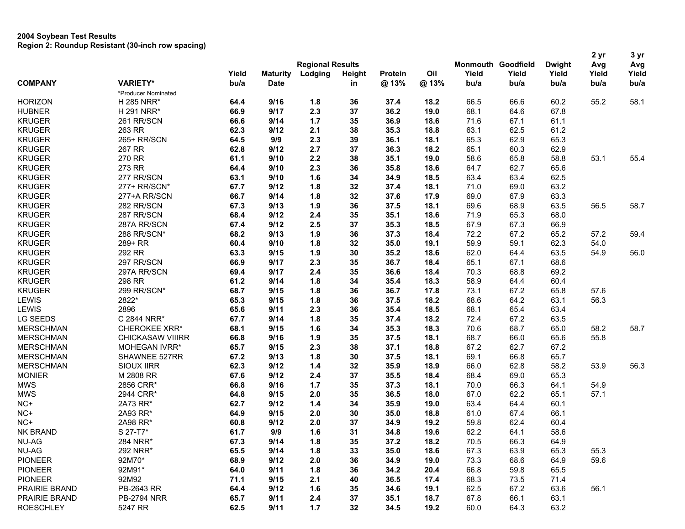|                  |                         |       |                         |         |               |         |      |       |                           |               | 2 yr  | 3 yr  |
|------------------|-------------------------|-------|-------------------------|---------|---------------|---------|------|-------|---------------------------|---------------|-------|-------|
|                  |                         |       | <b>Regional Results</b> |         |               |         |      |       | <b>Monmouth Goodfield</b> | <b>Dwight</b> | Avg   | Avg   |
|                  |                         | Yield | <b>Maturity</b>         | Lodging | <b>Height</b> | Protein | Oil  | Yield | Yield                     | Yield         | Yield | Yield |
| <b>COMPANY</b>   | <b>VARIETY*</b>         | bu/a  | <b>Date</b>             |         | in            | @13%    | @13% | bu/a  | bu/a                      | bu/a          | bu/a  | bu/a  |
|                  | *Producer Nominated     |       |                         |         |               |         |      |       |                           |               |       |       |
| <b>HORIZON</b>   | H 285 NRR*              | 64.4  | 9/16                    | 1.8     | 36            | 37.4    | 18.2 | 66.5  | 66.6                      | 60.2          | 55.2  | 58.1  |
| <b>HUBNER</b>    | H 291 NRR*              | 66.9  | 9/17                    | 2.3     | 37            | 36.2    | 19.0 | 68.1  | 64.6                      | 67.8          |       |       |
| <b>KRUGER</b>    | 261 RR/SCN              | 66.6  | 9/14                    | $1.7$   | 35            | 36.9    | 18.6 | 71.6  | 67.1                      | 61.1          |       |       |
| <b>KRUGER</b>    | 263 RR                  | 62.3  | 9/12                    | 2.1     | 38            | 35.3    | 18.8 | 63.1  | 62.5                      | 61.2          |       |       |
| <b>KRUGER</b>    | 265+ RR/SCN             | 64.5  | 9/9                     | 2.3     | 39            | 36.1    | 18.1 | 65.3  | 62.9                      | 65.3          |       |       |
| <b>KRUGER</b>    | 267 RR                  | 62.8  | 9/12                    | 2.7     | 37            | 36.3    | 18.2 | 65.1  | 60.3                      | 62.9          |       |       |
| <b>KRUGER</b>    | 270 RR                  | 61.1  | 9/10                    | 2.2     | 38            | 35.1    | 19.0 | 58.6  | 65.8                      | 58.8          | 53.1  | 55.4  |
| <b>KRUGER</b>    | 273 RR                  | 64.4  | 9/10                    | 2.3     | 36            | 35.8    | 18.6 | 64.7  | 62.7                      | 65.6          |       |       |
| <b>KRUGER</b>    | 277 RR/SCN              | 63.1  | 9/10                    | 1.6     | 34            | 34.9    | 18.5 | 63.4  | 63.4                      | 62.5          |       |       |
| <b>KRUGER</b>    | 277+ RR/SCN*            | 67.7  | 9/12                    | 1.8     | 32            | 37.4    | 18.1 | 71.0  | 69.0                      | 63.2          |       |       |
| <b>KRUGER</b>    | 277+A RR/SCN            | 66.7  | 9/14                    | 1.8     | 32            | 37.6    | 17.9 | 69.0  | 67.9                      | 63.3          |       |       |
| <b>KRUGER</b>    | 282 RR/SCN              | 67.3  | 9/13                    | 1.9     | 36            | 37.5    | 18.1 | 69.6  | 68.9                      | 63.5          | 56.5  | 58.7  |
| <b>KRUGER</b>    | 287 RR/SCN              | 68.4  | 9/12                    | 2.4     | 35            | 35.1    | 18.6 | 71.9  | 65.3                      | 68.0          |       |       |
| <b>KRUGER</b>    | 287A RR/SCN             | 67.4  | 9/12                    | 2.5     | 37            | 35.3    | 18.5 | 67.9  | 67.3                      | 66.9          |       |       |
| <b>KRUGER</b>    | 288 RR/SCN*             | 68.2  | 9/13                    | 1.9     | 36            | 37.3    | 18.4 | 72.2  | 67.2                      | 65.2          | 57.2  | 59.4  |
| <b>KRUGER</b>    | 289+ RR                 | 60.4  | 9/10                    | 1.8     | 32            | 35.0    | 19.1 | 59.9  | 59.1                      | 62.3          | 54.0  |       |
| <b>KRUGER</b>    | 292 RR                  | 63.3  | 9/15                    | 1.9     | 30            | 35.2    | 18.6 | 62.0  | 64.4                      | 63.5          | 54.9  | 56.0  |
| <b>KRUGER</b>    | 297 RR/SCN              | 66.9  | 9/17                    | 2.3     | 35            | 36.7    | 18.4 | 65.1  | 67.1                      | 68.6          |       |       |
| <b>KRUGER</b>    | 297A RR/SCN             | 69.4  | 9/17                    | 2.4     | 35            | 36.6    | 18.4 | 70.3  | 68.8                      | 69.2          |       |       |
| <b>KRUGER</b>    | 298 RR                  | 61.2  | 9/14                    | 1.8     | 34            | 35.4    | 18.3 | 58.9  | 64.4                      | 60.4          |       |       |
| <b>KRUGER</b>    | 299 RR/SCN*             | 68.7  | 9/15                    | 1.8     | 36            | 36.7    | 17.8 | 73.1  | 67.2                      | 65.8          | 57.6  |       |
| LEWIS            | 2822*                   | 65.3  | 9/15                    | 1.8     | 36            | 37.5    | 18.2 | 68.6  | 64.2                      | 63.1          | 56.3  |       |
| LEWIS            | 2896                    | 65.6  | 9/11                    | 2.3     | 36            | 35.4    | 18.5 | 68.1  | 65.4                      | 63.4          |       |       |
| LG SEEDS         | C 2844 NRR*             | 67.7  | 9/14                    | 1.8     | 35            | 37.4    | 18.2 | 72.4  | 67.2                      | 63.5          |       |       |
| <b>MERSCHMAN</b> | <b>CHEROKEE XRR*</b>    | 68.1  | 9/15                    | 1.6     | 34            | 35.3    | 18.3 | 70.6  | 68.7                      | 65.0          | 58.2  | 58.7  |
| <b>MERSCHMAN</b> | <b>CHICKASAW VIIIRR</b> | 66.8  | 9/16                    | 1.9     | 35            | 37.5    | 18.1 | 68.7  | 66.0                      | 65.6          | 55.8  |       |
| <b>MERSCHMAN</b> | <b>MOHEGAN IVRR*</b>    | 65.7  | 9/15                    | 2.3     | 38            | 37.1    | 18.8 | 67.2  | 62.7                      | 67.2          |       |       |
| <b>MERSCHMAN</b> | SHAWNEE 527RR           | 67.2  | 9/13                    | 1.8     | 30            | 37.5    | 18.1 | 69.1  | 66.8                      | 65.7          |       |       |
| <b>MERSCHMAN</b> | SIOUX IIRR              | 62.3  | 9/12                    | $1.4$   | 32            | 35.9    | 18.9 | 66.0  | 62.8                      | 58.2          | 53.9  | 56.3  |
| <b>MONIER</b>    | M 2808 RR               | 67.6  | 9/12                    | 2.4     | 37            | 35.5    | 18.4 | 68.4  | 69.0                      | 65.3          |       |       |
| <b>MWS</b>       | 2856 CRR*               | 66.8  | 9/16                    | $1.7$   | 35            | 37.3    | 18.1 | 70.0  | 66.3                      | 64.1          | 54.9  |       |
| <b>MWS</b>       | 2944 CRR*               | 64.8  | 9/15                    | 2.0     | 35            | 36.5    | 18.0 | 67.0  | 62.2                      | 65.1          | 57.1  |       |
| NC+              | 2A73 RR*                | 62.7  | 9/12                    | $1.4$   | 34            | 35.9    | 19.0 | 63.4  | 64.4                      | 60.1          |       |       |
| NC+              | 2A93 RR*                | 64.9  | 9/15                    | 2.0     | 30            | 35.0    | 18.8 | 61.0  | 67.4                      | 66.1          |       |       |
| NC+              | 2A98 RR*                | 60.8  | 9/12                    | 2.0     | 37            | 34.9    | 19.2 | 59.8  | 62.4                      | 60.4          |       |       |
| <b>NK BRAND</b>  | S 27-T7*                | 61.7  | 9/9                     | 1.6     | 31            | 34.8    | 19.6 | 62.2  | 64.1                      | 58.6          |       |       |
| <b>NU-AG</b>     | 284 NRR*                | 67.3  | 9/14                    | 1.8     | 35            | 37.2    | 18.2 | 70.5  | 66.3                      | 64.9          |       |       |
| NU-AG            | 292 NRR*                | 65.5  | 9/14                    | 1.8     | 33            | 35.0    | 18.6 | 67.3  | 63.9                      | 65.3          | 55.3  |       |
| <b>PIONEER</b>   | 92M70*                  | 68.9  | 9/12                    | 2.0     | 36            | 34.9    | 19.0 | 73.3  | 68.6                      | 64.9          | 59.6  |       |
| <b>PIONEER</b>   | 92M91*                  | 64.0  | 9/11                    | 1.8     | 36            | 34.2    | 20.4 | 66.8  | 59.8                      | 65.5          |       |       |
| <b>PIONEER</b>   | 92M92                   | 71.1  | 9/15                    | 2.1     | 40            | 36.5    | 17.4 | 68.3  | 73.5                      | 71.4          |       |       |
| PRAIRIE BRAND    | PB-2643 RR              | 64.4  | 9/12                    | 1.6     | 35            | 34.6    | 19.1 | 62.5  | 67.2                      | 63.6          | 56.1  |       |
| PRAIRIE BRAND    | <b>PB-2794 NRR</b>      | 65.7  | 9/11                    | 2.4     | 37            | 35.1    | 18.7 | 67.8  | 66.1                      | 63.1          |       |       |
| <b>ROESCHLEY</b> | 5247 RR                 | 62.5  | 9/11                    | $1.7$   | 32            | 34.5    | 19.2 | 60.0  | 64.3                      | 63.2          |       |       |
|                  |                         |       |                         |         |               |         |      |       |                           |               |       |       |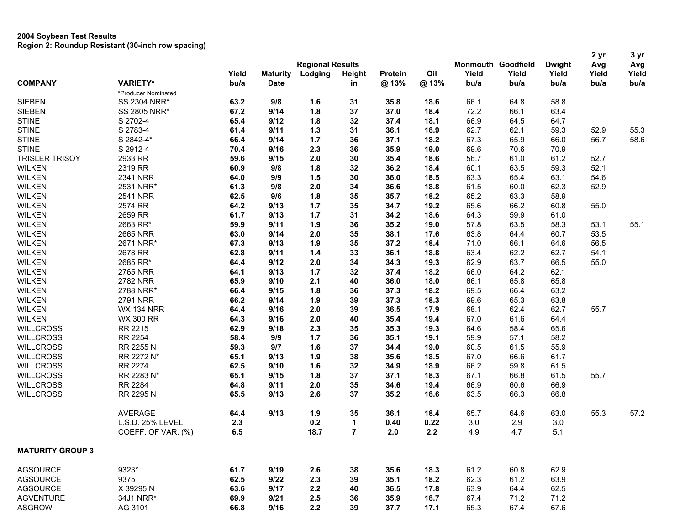|                         |                     |       |                 |                         |                |         |      | <b>Monmouth Goodfield</b> |       |               | 2 yr  | 3 yr  |
|-------------------------|---------------------|-------|-----------------|-------------------------|----------------|---------|------|---------------------------|-------|---------------|-------|-------|
|                         |                     |       |                 | <b>Regional Results</b> |                |         |      |                           |       | <b>Dwight</b> | Avg   | Avg   |
|                         |                     | Yield | <b>Maturity</b> | Lodging                 | <b>Height</b>  | Protein | Oil  | Yield                     | Yield | Yield         | Yield | Yield |
| <b>COMPANY</b>          | <b>VARIETY*</b>     | bu/a  | <b>Date</b>     |                         | in             | @13%    | @13% | bu/a                      | bu/a  | bu/a          | bu/a  | bu/a  |
|                         | *Producer Nominated |       |                 |                         |                |         |      |                           |       |               |       |       |
| <b>SIEBEN</b>           | SS 2304 NRR*        | 63.2  | 9/8             | 1.6                     | 31             | 35.8    | 18.6 | 66.1                      | 64.8  | 58.8          |       |       |
| <b>SIEBEN</b>           | SS 2805 NRR*        | 67.2  | 9/14            | 1.8                     | 37             | 37.0    | 18.4 | 72.2                      | 66.1  | 63.4          |       |       |
| <b>STINE</b>            | S 2702-4            | 65.4  | 9/12            | 1.8                     | 32             | 37.4    | 18.1 | 66.9                      | 64.5  | 64.7          |       |       |
| <b>STINE</b>            | S 2783-4            | 61.4  | 9/11            | $1.3$                   | 31             | 36.1    | 18.9 | 62.7                      | 62.1  | 59.3          | 52.9  | 55.3  |
| <b>STINE</b>            | S 2842-4*           | 66.4  | 9/14            | 1.7                     | 36             | 37.1    | 18.2 | 67.3                      | 65.9  | 66.0          | 56.7  | 58.6  |
| <b>STINE</b>            | S 2912-4            | 70.4  | 9/16            | 2.3                     | 36             | 35.9    | 19.0 | 69.6                      | 70.6  | 70.9          |       |       |
| <b>TRISLER TRISOY</b>   | 2933 RR             | 59.6  | 9/15            | 2.0                     | 30             | 35.4    | 18.6 | 56.7                      | 61.0  | 61.2          | 52.7  |       |
| <b>WILKEN</b>           | 2319 RR             | 60.9  | 9/8             | 1.8                     | 32             | 36.2    | 18.4 | 60.1                      | 63.5  | 59.3          | 52.1  |       |
| <b>WILKEN</b>           | 2341 NRR            | 64.0  | 9/9             | 1.5                     | 30             | 36.0    | 18.5 | 63.3                      | 65.4  | 63.1          | 54.6  |       |
| <b>WILKEN</b>           | 2531 NRR*           | 61.3  | 9/8             | 2.0                     | 34             | 36.6    | 18.8 | 61.5                      | 60.0  | 62.3          | 52.9  |       |
| <b>WILKEN</b>           | <b>2541 NRR</b>     | 62.5  | 9/6             | 1.8                     | 35             | 35.7    | 18.2 | 65.2                      | 63.3  | 58.9          |       |       |
| <b>WILKEN</b>           | 2574 RR             | 64.2  | 9/13            | $1.7$                   | 35             | 34.7    | 19.2 | 65.6                      | 66.2  | 60.8          | 55.0  |       |
| <b>WILKEN</b>           | 2659 RR             | 61.7  | 9/13            | $1.7$                   | 31             | 34.2    | 18.6 | 64.3                      | 59.9  | 61.0          |       |       |
| <b>WILKEN</b>           | 2663 RR*            | 59.9  | 9/11            | 1.9                     | 36             | 35.2    | 19.0 | 57.8                      | 63.5  | 58.3          | 53.1  | 55.1  |
| <b>WILKEN</b>           | <b>2665 NRR</b>     | 63.0  | 9/14            | 2.0                     | 35             | 38.1    | 17.6 | 63.8                      | 64.4  | 60.7          | 53.5  |       |
| <b>WILKEN</b>           | 2671 NRR*           | 67.3  | 9/13            | 1.9                     | 35             | 37.2    | 18.4 | 71.0                      | 66.1  | 64.6          | 56.5  |       |
| <b>WILKEN</b>           | 2678 RR             | 62.8  | 9/11            | 1.4                     | 33             | 36.1    | 18.8 | 63.4                      | 62.2  | 62.7          | 54.1  |       |
| <b>WILKEN</b>           | 2685 RR*            | 64.4  | 9/12            | 2.0                     | 34             | 34.3    | 19.3 | 62.9                      | 63.7  | 66.5          | 55.0  |       |
| <b>WILKEN</b>           | <b>2765 NRR</b>     | 64.1  | 9/13            | $1.7$                   | 32             | 37.4    | 18.2 | 66.0                      | 64.2  | 62.1          |       |       |
| <b>WILKEN</b>           | <b>2782 NRR</b>     | 65.9  | 9/10            | 2.1                     | 40             | 36.0    | 18.0 | 66.1                      | 65.8  | 65.8          |       |       |
| <b>WILKEN</b>           | 2788 NRR*           | 66.4  | 9/15            | 1.8                     | 36             | 37.3    | 18.2 | 69.5                      | 66.4  | 63.2          |       |       |
|                         | <b>2791 NRR</b>     |       |                 |                         |                |         |      |                           |       |               |       |       |
| <b>WILKEN</b>           |                     | 66.2  | 9/14            | 1.9                     | 39             | 37.3    | 18.3 | 69.6                      | 65.3  | 63.8          |       |       |
| <b>WILKEN</b>           | <b>WX 134 NRR</b>   | 64.4  | 9/16            | 2.0                     | 39             | 36.5    | 17.9 | 68.1                      | 62.4  | 62.7          | 55.7  |       |
| <b>WILKEN</b>           | <b>WX 300 RR</b>    | 64.3  | 9/16            | 2.0                     | 40             | 35.4    | 19.4 | 67.0                      | 61.6  | 64.4          |       |       |
| <b>WILLCROSS</b>        | RR 2215             | 62.9  | 9/18            | 2.3                     | 35             | 35.3    | 19.3 | 64.6                      | 58.4  | 65.6          |       |       |
| <b>WILLCROSS</b>        | RR 2254             | 58.4  | 9/9             | 1.7                     | 36             | 35.1    | 19.1 | 59.9                      | 57.1  | 58.2          |       |       |
| <b>WILLCROSS</b>        | RR 2255 N           | 59.3  | 9/7             | 1.6                     | 37             | 34.4    | 19.0 | 60.5                      | 61.5  | 55.9          |       |       |
| <b>WILLCROSS</b>        | RR 2272 N*          | 65.1  | 9/13            | 1.9                     | 38             | 35.6    | 18.5 | 67.0                      | 66.6  | 61.7          |       |       |
| <b>WILLCROSS</b>        | <b>RR 2274</b>      | 62.5  | 9/10            | 1.6                     | 32             | 34.9    | 18.9 | 66.2                      | 59.8  | 61.5          |       |       |
| <b>WILLCROSS</b>        | RR 2283 N*          | 65.1  | 9/15            | 1.8                     | 37             | 37.1    | 18.3 | 67.1                      | 66.8  | 61.5          | 55.7  |       |
| <b>WILLCROSS</b>        | <b>RR 2284</b>      | 64.8  | 9/11            | 2.0                     | 35             | 34.6    | 19.4 | 66.9                      | 60.6  | 66.9          |       |       |
| <b>WILLCROSS</b>        | RR 2295 N           | 65.5  | 9/13            | 2.6                     | 37             | 35.2    | 18.6 | 63.5                      | 66.3  | 66.8          |       |       |
|                         | <b>AVERAGE</b>      | 64.4  | 9/13            | 1.9                     | 35             | 36.1    | 18.4 | 65.7                      | 64.6  | 63.0          | 55.3  | 57.2  |
|                         | L.S.D. 25% LEVEL    | 2.3   |                 | 0.2                     | 1              | 0.40    | 0.22 | 3.0                       | 2.9   | 3.0           |       |       |
|                         | COEFF. OF VAR. (%)  | 6.5   |                 | 18.7                    | $\overline{7}$ | 2.0     | 2.2  | 4.9                       | 4.7   | 5.1           |       |       |
| <b>MATURITY GROUP 3</b> |                     |       |                 |                         |                |         |      |                           |       |               |       |       |
| <b>AGSOURCE</b>         | 9323*               | 61.7  | 9/19            | 2.6                     | 38             | 35.6    | 18.3 | 61.2                      | 60.8  | 62.9          |       |       |
| <b>AGSOURCE</b>         | 9375                | 62.5  | 9/22            | 2.3                     | 39             | 35.1    | 18.2 | 62.3                      | 61.2  | 63.9          |       |       |
| <b>AGSOURCE</b>         | X 39295 N           | 63.6  | 9/17            | 2.2                     | 40             | 36.5    | 17.8 | 63.9                      | 64.4  | 62.5          |       |       |
| <b>AGVENTURE</b>        | 34J1 NRR*           | 69.9  | 9/21            | 2.5                     | 36             | 35.9    | 18.7 | 67.4                      | 71.2  | 71.2          |       |       |
| <b>ASGROW</b>           | AG 3101             | 66.8  | 9/16            | 2.2                     | 39             | 37.7    | 17.1 | 65.3                      | 67.4  | 67.6          |       |       |
|                         |                     |       |                 |                         |                |         |      |                           |       |               |       |       |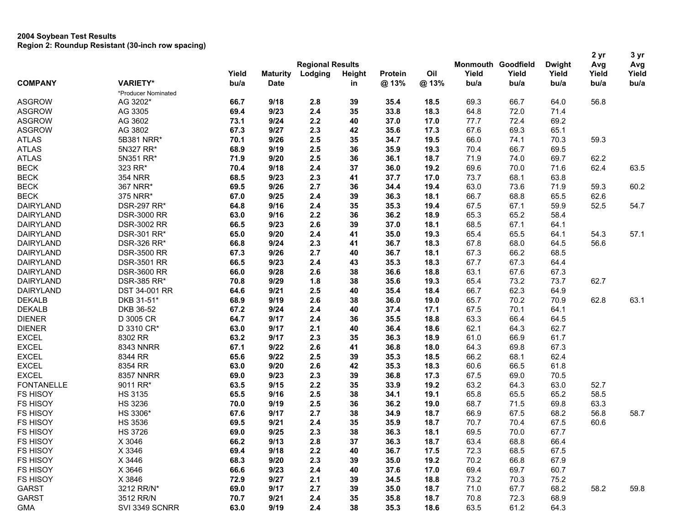|                             |                     |                         |                 |         |               |         |      |                           |       |               | 2 yr  | 3 yr  |
|-----------------------------|---------------------|-------------------------|-----------------|---------|---------------|---------|------|---------------------------|-------|---------------|-------|-------|
|                             |                     | <b>Regional Results</b> |                 |         |               |         |      | <b>Monmouth Goodfield</b> |       | <b>Dwight</b> | Avg   | Avg   |
|                             |                     | Yield                   | <b>Maturity</b> | Lodging | <b>Height</b> | Protein | Oil  | Yield                     | Yield | Yield         | Yield | Yield |
| <b>COMPANY</b>              | <b>VARIETY*</b>     | bu/a                    | <b>Date</b>     |         | in            | @ 13%   | @13% | bu/a                      | bu/a  | bu/a          | bu/a  | bu/a  |
|                             | *Producer Nominated |                         |                 |         |               |         |      |                           |       |               |       |       |
| <b>ASGROW</b>               | AG 3202*            | 66.7                    | 9/18            | 2.8     | 39            | 35.4    | 18.5 | 69.3                      | 66.7  | 64.0          | 56.8  |       |
| <b>ASGROW</b>               | AG 3305             | 69.4                    | 9/23            | 2.4     | 35            | 33.8    | 18.3 | 64.8                      | 72.0  | 71.4          |       |       |
| <b>ASGROW</b>               | AG 3602             | 73.1                    | 9/24            | 2.2     | 40            | 37.0    | 17.0 | 77.7                      | 72.4  | 69.2          |       |       |
| <b>ASGROW</b>               | AG 3802             | 67.3                    | 9/27            | 2.3     | 42            | 35.6    | 17.3 | 67.6                      | 69.3  | 65.1          |       |       |
| <b>ATLAS</b>                | 5B381 NRR*          | 70.1                    | 9/26            | 2.5     | 35            | 34.7    | 19.5 | 66.0                      | 74.1  | 70.3          | 59.3  |       |
| <b>ATLAS</b>                | 5N327 RR*           | 68.9                    | 9/19            | 2.5     | 36            | 35.9    | 19.3 | 70.4                      | 66.7  | 69.5          |       |       |
| <b>ATLAS</b>                | 5N351 RR*           | 71.9                    | 9/20            | 2.5     | 36            | 36.1    | 18.7 | 71.9                      | 74.0  | 69.7          | 62.2  |       |
| <b>BECK</b>                 | 323 RR*             | 70.4                    | 9/18            | 2.4     | 37            | 36.0    | 19.2 | 69.6                      | 70.0  | 71.6          | 62.4  | 63.5  |
| <b>BECK</b>                 | <b>354 NRR</b>      | 68.5                    | 9/23            | 2.3     | 41            | 37.7    | 17.0 | 73.7                      | 68.1  | 63.8          |       |       |
| <b>BECK</b>                 | 367 NRR*            | 69.5                    | 9/26            | 2.7     | 36            | 34.4    | 19.4 | 63.0                      | 73.6  | 71.9          | 59.3  | 60.2  |
| <b>BECK</b>                 | 375 NRR*            | 67.0                    | 9/25            | 2.4     | 39            | 36.3    | 18.1 | 66.7                      | 68.8  | 65.5          | 62.6  |       |
| DAIRYLAND                   | <b>DSR-297 RR*</b>  | 64.8                    | 9/16            | 2.4     | 35            | 35.3    | 19.4 | 67.5                      | 67.1  | 59.9          | 52.5  | 54.7  |
| <b>DAIRYLAND</b>            | <b>DSR-3000 RR</b>  | 63.0                    | 9/16            | 2.2     | 36            | 36.2    | 18.9 | 65.3                      | 65.2  | 58.4          |       |       |
| <b>DAIRYLAND</b>            | <b>DSR-3002 RR</b>  | 66.5                    | 9/23            | 2.6     | 39            | 37.0    | 18.1 | 68.5                      | 67.1  | 64.1          |       |       |
| <b>DAIRYLAND</b>            | DSR-301 RR*         | 65.0                    | 9/20            | 2.4     | 41            | 35.0    | 19.3 | 65.4                      | 65.5  | 64.1          | 54.3  | 57.1  |
| <b>DAIRYLAND</b>            | DSR-326 RR*         | 66.8                    | 9/24            | 2.3     | 41            | 36.7    | 18.3 | 67.8                      | 68.0  | 64.5          | 56.6  |       |
| DAIRYLAND                   | <b>DSR-3500 RR</b>  | 67.3                    | 9/26            | 2.7     | 40            | 36.7    | 18.1 | 67.3                      | 66.2  | 68.5          |       |       |
| <b>DAIRYLAND</b>            | <b>DSR-3501 RR</b>  | 66.5                    | 9/23            | 2.4     | 43            | 35.3    | 18.3 | 67.7                      | 67.3  | 64.4          |       |       |
| <b>DAIRYLAND</b>            | <b>DSR-3600 RR</b>  | 66.0                    | 9/28            | 2.6     | 38            | 36.6    | 18.8 | 63.1                      | 67.6  | 67.3          |       |       |
| <b>DAIRYLAND</b>            | <b>DSR-385 RR*</b>  | 70.8                    | 9/29            | 1.8     | 38            | 35.6    | 19.3 | 65.4                      | 73.2  | 73.7          | 62.7  |       |
| <b>DAIRYLAND</b>            | DST 34-001 RR       | 64.6                    | 9/21            | 2.5     | 40            | 35.4    | 18.4 | 66.7                      | 62.3  | 64.9          |       |       |
| <b>DEKALB</b>               | DKB 31-51*          | 68.9                    | 9/19            | 2.6     | 38            | 36.0    | 19.0 | 65.7                      | 70.2  | 70.9          | 62.8  | 63.1  |
| <b>DEKALB</b>               | DKB 36-52           | 67.2                    | 9/24            | 2.4     | 40            | 37.4    | 17.1 | 67.5                      | 70.1  | 64.1          |       |       |
| <b>DIENER</b>               | D 3005 CR           | 64.7                    | 9/17            | 2.4     | 36            | 35.5    | 18.8 | 63.3                      | 66.4  | 64.5          |       |       |
| <b>DIENER</b>               | D 3310 CR*          | 63.0                    | 9/17            | 2.1     | 40            | 36.4    | 18.6 | 62.1                      | 64.3  | 62.7          |       |       |
| <b>EXCEL</b>                | 8302 RR             | 63.2                    | 9/17            | 2.3     | 35            | 36.3    | 18.9 | 61.0                      | 66.9  | 61.7          |       |       |
| <b>EXCEL</b>                | 8343 NNRR           | 67.1                    | 9/22            | 2.6     | 41            | 36.8    | 18.0 | 64.3                      | 69.8  | 67.3          |       |       |
| <b>EXCEL</b>                | 8344 RR             | 65.6                    | 9/22            | 2.5     | 39            | 35.3    | 18.5 | 66.2                      | 68.1  | 62.4          |       |       |
| <b>EXCEL</b>                | 8354 RR             | 63.0                    | 9/20            | 2.6     | 42            | 35.3    | 18.3 | 60.6                      | 66.5  | 61.8          |       |       |
| <b>EXCEL</b>                | <b>8357 NNRR</b>    | 69.0                    | 9/23            | 2.3     | 39            | 36.8    | 17.3 | 67.5                      | 69.0  | 70.5          |       |       |
| <b>FONTANELLE</b>           | 9011 RR*            | 63.5                    | 9/15            | 2.2     | 35            | 33.9    | 19.2 | 63.2                      | 64.3  | 63.0          | 52.7  |       |
| <b>FS HISOY</b>             | <b>HS 3135</b>      | 65.5                    | 9/16            | 2.5     | 38            | 34.1    | 19.1 | 65.8                      | 65.5  | 65.2          | 58.5  |       |
| <b>FS HISOY</b>             | <b>HS 3236</b>      | 70.0                    | 9/19            | 2.5     | 36            | 36.2    | 19.0 | 68.7                      | 71.5  | 69.8          | 63.3  |       |
| <b>FS HISOY</b>             | HS 3306*            | 67.6                    | 9/17            | 2.7     | 38            | 34.9    | 18.7 | 66.9                      | 67.5  | 68.2          | 56.8  | 58.7  |
| <b>FS HISOY</b>             | <b>HS 3536</b>      | 69.5                    | 9/21            | 2.4     | 35            |         | 18.7 | 70.7                      | 70.4  | 67.5          | 60.6  |       |
|                             | <b>HS 3726</b>      |                         |                 |         | 38            | 35.9    |      |                           |       | 67.7          |       |       |
| <b>FS HISOY</b><br>FS HISOY |                     | 69.0                    | 9/25            | 2.3     |               | 36.3    | 18.1 | 69.5                      | 70.0  |               |       |       |
|                             | X 3046              | 66.2                    | 9/13            | 2.8     | 37            | 36.3    | 18.7 | 63.4                      | 68.8  | 66.4          |       |       |
| <b>FS HISOY</b>             | X 3346              | 69.4                    | 9/18            | 2.2     | 40            | 36.7    | 17.5 | 72.3                      | 68.5  | 67.5          |       |       |
| <b>FS HISOY</b>             | X 3446              | 68.3                    | 9/20            | 2.3     | 39            | 35.0    | 19.2 | 70.2                      | 66.8  | 67.9          |       |       |
| <b>FS HISOY</b>             | X 3646              | 66.6                    | 9/23            | 2.4     | 40            | 37.6    | 17.0 | 69.4                      | 69.7  | 60.7          |       |       |
| <b>FS HISOY</b>             | X 3846              | 72.9                    | 9/27            | 2.1     | 39            | 34.5    | 18.8 | 73.2                      | 70.3  | 75.2          |       |       |
| GARST                       | 3212 RR/N*          | 69.0                    | 9/17            | 2.7     | 39            | 35.0    | 18.7 | 71.0                      | 67.7  | 68.2          | 58.2  | 59.8  |
| GARST                       | 3512 RR/N           | 70.7                    | 9/21            | 2.4     | 35            | 35.8    | 18.7 | 70.8                      | 72.3  | 68.9          |       |       |
| <b>GMA</b>                  | SVI 3349 SCNRR      | 63.0                    | 9/19            | 2.4     | 38            | 35.3    | 18.6 | 63.5                      | 61.2  | 64.3          |       |       |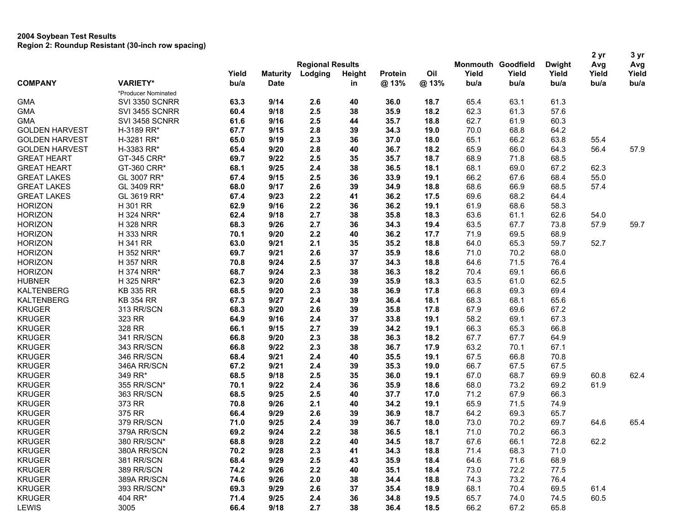|                       |                     |                         |                 |         |               |         |      |       |                           |               | 2 yr  | 3 yr  |
|-----------------------|---------------------|-------------------------|-----------------|---------|---------------|---------|------|-------|---------------------------|---------------|-------|-------|
|                       |                     | <b>Regional Results</b> |                 |         |               |         |      |       | <b>Monmouth Goodfield</b> | <b>Dwight</b> | Avg   | Avg   |
|                       |                     | Yield                   | <b>Maturity</b> | Lodging | <b>Height</b> | Protein | Oil  | Yield | Yield                     | Yield         | Yield | Yield |
| <b>COMPANY</b>        | <b>VARIETY*</b>     | bu/a                    | <b>Date</b>     |         | in            | @ 13%   | @13% | bu/a  | bu/a                      | bu/a          | bu/a  | bu/a  |
|                       | *Producer Nominated |                         |                 |         |               |         |      |       |                           |               |       |       |
| <b>GMA</b>            | SVI 3350 SCNRR      | 63.3                    | 9/14            | 2.6     | 40            | 36.0    | 18.7 | 65.4  | 63.1                      | 61.3          |       |       |
| <b>GMA</b>            | SVI 3455 SCNRR      | 60.4                    | 9/18            | 2.5     | 38            | 35.9    | 18.2 | 62.3  | 61.3                      | 57.6          |       |       |
| <b>GMA</b>            | SVI 3458 SCNRR      | 61.6                    | 9/16            | 2.5     | 44            | 35.7    | 18.8 | 62.7  | 61.9                      | 60.3          |       |       |
| <b>GOLDEN HARVEST</b> | H-3189 RR*          | 67.7                    | 9/15            | 2.8     | 39            | 34.3    | 19.0 | 70.0  | 68.8                      | 64.2          |       |       |
| <b>GOLDEN HARVEST</b> | H-3281 RR*          | 65.0                    | 9/19            | 2.3     | 36            | 37.0    | 18.0 | 65.1  | 66.2                      | 63.8          | 55.4  |       |
| <b>GOLDEN HARVEST</b> | H-3383 RR*          | 65.4                    | 9/20            | 2.8     | 40            | 36.7    | 18.2 | 65.9  | 66.0                      | 64.3          | 56.4  | 57.9  |
| <b>GREAT HEART</b>    | GT-345 CRR*         | 69.7                    | 9/22            | 2.5     | 35            | 35.7    | 18.7 | 68.9  | 71.8                      | 68.5          |       |       |
| <b>GREAT HEART</b>    | GT-360 CRR*         | 68.1                    | 9/25            | 2.4     | 38            | 36.5    | 18.1 | 68.1  | 69.0                      | 67.2          | 62.3  |       |
| <b>GREAT LAKES</b>    | GL 3007 RR*         | 67.4                    | 9/15            | 2.5     | 36            | 33.9    | 19.1 | 66.2  | 67.6                      | 68.4          | 55.0  |       |
| <b>GREAT LAKES</b>    | GL 3409 RR*         | 68.0                    | 9/17            | 2.6     | 39            | 34.9    | 18.8 | 68.6  | 66.9                      | 68.5          | 57.4  |       |
| <b>GREAT LAKES</b>    | GL 3619 RR*         | 67.4                    | 9/23            | 2.2     | 41            | 36.2    | 17.5 | 69.6  | 68.2                      | 64.4          |       |       |
| <b>HORIZON</b>        | H 301 RR            | 62.9                    | 9/16            | 2.2     | 36            | 36.2    | 19.1 | 61.9  | 68.6                      | 58.3          |       |       |
| <b>HORIZON</b>        | H 324 NRR*          | 62.4                    | 9/18            | 2.7     | 38            | 35.8    | 18.3 | 63.6  | 61.1                      | 62.6          | 54.0  |       |
| <b>HORIZON</b>        | <b>H 328 NRR</b>    | 68.3                    | 9/26            | 2.7     | 36            | 34.3    | 19.4 | 63.5  | 67.7                      | 73.8          | 57.9  | 59.7  |
| <b>HORIZON</b>        | <b>H333 NRR</b>     | 70.1                    | 9/20            | 2.2     | 40            | 36.2    | 17.7 | 71.9  | 69.5                      | 68.9          |       |       |
| <b>HORIZON</b>        | H 341 RR            | 63.0                    | 9/21            | 2.1     | 35            | 35.2    | 18.8 | 64.0  | 65.3                      | 59.7          | 52.7  |       |
| <b>HORIZON</b>        | H 352 NRR*          | 69.7                    | 9/21            | 2.6     | 37            | 35.9    | 18.6 | 71.0  | 70.2                      | 68.0          |       |       |
| <b>HORIZON</b>        | <b>H357 NRR</b>     | 70.8                    | 9/24            | 2.5     | 37            | 34.3    | 18.8 | 64.6  | 71.5                      | 76.4          |       |       |
| <b>HORIZON</b>        | H 374 NRR*          | 68.7                    | 9/24            | 2.3     | 38            | 36.3    | 18.2 | 70.4  | 69.1                      | 66.6          |       |       |
| <b>HUBNER</b>         | H 325 NRR*          | 62.3                    | 9/20            | 2.6     | 39            | 35.9    | 18.3 | 63.5  | 61.0                      | 62.5          |       |       |
| <b>KALTENBERG</b>     | <b>KB 335 RR</b>    | 68.5                    | 9/20            | 2.3     | 38            | 36.9    | 17.8 | 66.8  | 69.3                      | 69.4          |       |       |
| <b>KALTENBERG</b>     | <b>KB 354 RR</b>    | 67.3                    | 9/27            | 2.4     | 39            | 36.4    | 18.1 | 68.3  | 68.1                      | 65.6          |       |       |
| <b>KRUGER</b>         | 313 RR/SCN          | 68.3                    | 9/20            | 2.6     | 39            | 35.8    | 17.8 | 67.9  | 69.6                      | 67.2          |       |       |
| <b>KRUGER</b>         | 323 RR              | 64.9                    | 9/16            | 2.4     | 37            | 33.8    | 19.1 | 58.2  | 69.1                      | 67.3          |       |       |
| <b>KRUGER</b>         | 328 RR              | 66.1                    | 9/15            | 2.7     | 39            | 34.2    | 19.1 | 66.3  | 65.3                      | 66.8          |       |       |
| <b>KRUGER</b>         | 341 RR/SCN          | 66.8                    | 9/20            | 2.3     | 38            | 36.3    | 18.2 | 67.7  | 67.7                      | 64.9          |       |       |
| <b>KRUGER</b>         | 343 RR/SCN          | 66.8                    | 9/22            | 2.3     | 38            | 36.7    | 17.9 | 63.2  | 70.1                      | 67.1          |       |       |
| <b>KRUGER</b>         | 346 RR/SCN          | 68.4                    | 9/21            | 2.4     | 40            | 35.5    | 19.1 | 67.5  | 66.8                      | 70.8          |       |       |
| <b>KRUGER</b>         | 346A RR/SCN         | 67.2                    | 9/21            | 2.4     | 39            | 35.3    | 19.0 | 66.7  | 67.5                      | 67.5          |       |       |
| <b>KRUGER</b>         | 349 RR*             | 68.5                    | 9/18            | 2.5     | 35            | 36.0    | 19.1 | 67.0  | 68.7                      | 69.9          | 60.8  | 62.4  |
| <b>KRUGER</b>         | 355 RR/SCN*         | 70.1                    | 9/22            | 2.4     | 36            | 35.9    | 18.6 | 68.0  | 73.2                      | 69.2          | 61.9  |       |
| <b>KRUGER</b>         | 363 RR/SCN          | 68.5                    | 9/25            | 2.5     | 40            | 37.7    | 17.0 | 71.2  | 67.9                      | 66.3          |       |       |
| <b>KRUGER</b>         | 373 RR              | 70.8                    | 9/26            | 2.1     | 40            | 34.2    | 19.1 | 65.9  | 71.5                      | 74.9          |       |       |
| <b>KRUGER</b>         | 375 RR              | 66.4                    | 9/29            | 2.6     | 39            | 36.9    | 18.7 | 64.2  | 69.3                      | 65.7          |       |       |
| <b>KRUGER</b>         |                     |                         | 9/25            | 2.4     | 39            |         | 18.0 |       |                           | 69.7          | 64.6  | 65.4  |
|                       | 379 RR/SCN          | 71.0                    |                 |         |               | 36.7    |      | 73.0  | 70.2                      |               |       |       |
| <b>KRUGER</b>         | 379A RR/SCN         | 69.2                    | 9/24            | 2.2     | 38            | 36.5    | 18.1 | 71.0  | 70.2                      | 66.3          |       |       |
| <b>KRUGER</b>         | 380 RR/SCN*         | 68.8                    | 9/28            | 2.2     | 40            | 34.5    | 18.7 | 67.6  | 66.1                      | 72.8          | 62.2  |       |
| <b>KRUGER</b>         | 380A RR/SCN         | 70.2                    | 9/28            | 2.3     | 41            | 34.3    | 18.8 | 71.4  | 68.3                      | 71.0          |       |       |
| <b>KRUGER</b>         | 381 RR/SCN          | 68.4                    | 9/29            | 2.5     | 43            | 35.9    | 18.4 | 64.6  | 71.6                      | 68.9          |       |       |
| <b>KRUGER</b>         | 389 RR/SCN          | 74.2                    | 9/26            | 2.2     | 40            | 35.1    | 18.4 | 73.0  | 72.2                      | 77.5          |       |       |
| <b>KRUGER</b>         | 389A RR/SCN         | 74.6                    | 9/26            | 2.0     | 38            | 34.4    | 18.8 | 74.3  | 73.2                      | 76.4          |       |       |
| <b>KRUGER</b>         | 393 RR/SCN*         | 69.3                    | 9/29            | 2.6     | 37            | 35.4    | 18.9 | 68.1  | 70.4                      | 69.5          | 61.4  |       |
| <b>KRUGER</b>         | 404 RR*             | 71.4                    | 9/25            | 2.4     | 36            | 34.8    | 19.5 | 65.7  | 74.0                      | 74.5          | 60.5  |       |
| <b>LEWIS</b>          | 3005                | 66.4                    | 9/18            | 2.7     | 38            | 36.4    | 18.5 | 66.2  | 67.2                      | 65.8          |       |       |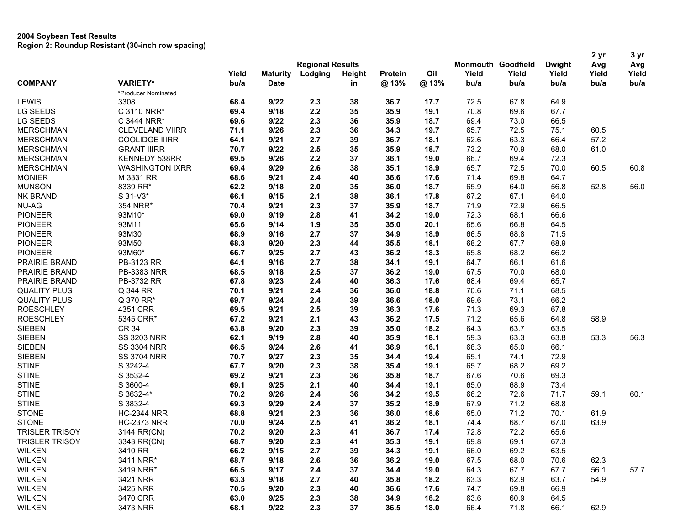|                       |                        |                         |                 |         |        |         |      |       |                           | 2 yr          | 3 yr  |       |
|-----------------------|------------------------|-------------------------|-----------------|---------|--------|---------|------|-------|---------------------------|---------------|-------|-------|
|                       |                        | <b>Regional Results</b> |                 |         |        |         |      |       | <b>Monmouth Goodfield</b> | <b>Dwight</b> | Avg   | Avg   |
|                       |                        | Yield                   | <b>Maturity</b> | Lodging | Height | Protein | Oil  | Yield | Yield                     | Yield         | Yield | Yield |
| <b>COMPANY</b>        | <b>VARIETY*</b>        | bu/a                    | <b>Date</b>     |         | in     | @13%    | @13% | bu/a  | bu/a                      | bu/a          | bu/a  | bu/a  |
|                       | *Producer Nominated    |                         |                 |         |        |         |      |       |                           |               |       |       |
| LEWIS                 | 3308                   | 68.4                    | 9/22            | 2.3     | 38     | 36.7    | 17.7 | 72.5  | 67.8                      | 64.9          |       |       |
| <b>LG SEEDS</b>       | C 3110 NRR*            | 69.4                    | 9/18            | 2.2     | 35     | 35.9    | 19.1 | 70.8  | 69.6                      | 67.7          |       |       |
| LG SEEDS              | C 3444 NRR*            | 69.6                    | 9/22            | 2.3     | 36     | 35.9    | 18.7 | 69.4  | 73.0                      | 66.5          |       |       |
| <b>MERSCHMAN</b>      | <b>CLEVELAND VIIRR</b> | 71.1                    | 9/26            | 2.3     | 36     | 34.3    | 19.7 | 65.7  | 72.5                      | 75.1          | 60.5  |       |
| <b>MERSCHMAN</b>      | <b>COOLIDGE IIIRR</b>  | 64.1                    | 9/21            | 2.7     | 39     | 36.7    | 18.1 | 62.6  | 63.3                      | 66.4          | 57.2  |       |
| <b>MERSCHMAN</b>      | <b>GRANT IIIRR</b>     | 70.7                    | 9/22            | 2.5     | 35     | 35.9    | 18.7 | 73.2  | 70.9                      | 68.0          | 61.0  |       |
| <b>MERSCHMAN</b>      | <b>KENNEDY 538RR</b>   | 69.5                    | 9/26            | 2.2     | 37     | 36.1    | 19.0 | 66.7  | 69.4                      | 72.3          |       |       |
| <b>MERSCHMAN</b>      | <b>WASHINGTON IXRR</b> | 69.4                    | 9/29            | 2.6     | 38     | 35.1    | 18.9 | 65.7  | 72.5                      | 70.0          | 60.5  | 60.8  |
| <b>MONIER</b>         | M 3331 RR              | 68.6                    | 9/21            | 2.4     | 40     | 36.6    | 17.6 | 71.4  | 69.8                      | 64.7          |       |       |
| <b>MUNSON</b>         | 8339 RR*               | 62.2                    | 9/18            | 2.0     | 35     | 36.0    | 18.7 | 65.9  | 64.0                      | 56.8          | 52.8  | 56.0  |
| <b>NK BRAND</b>       | S 31-V3*               | 66.1                    | 9/15            | 2.1     | 38     | 36.1    | 17.8 | 67.2  | 67.1                      | 64.0          |       |       |
| <b>NU-AG</b>          | 354 NRR*               | 70.4                    | 9/21            | 2.3     | 37     | 35.9    | 18.7 | 71.9  | 72.9                      | 66.5          |       |       |
| <b>PIONEER</b>        | 93M10*                 | 69.0                    | 9/19            | 2.8     | 41     | 34.2    | 19.0 | 72.3  | 68.1                      | 66.6          |       |       |
| <b>PIONEER</b>        | 93M11                  | 65.6                    | 9/14            | 1.9     | 35     | 35.0    | 20.1 | 65.6  | 66.8                      | 64.5          |       |       |
| <b>PIONEER</b>        | 93M30                  | 68.9                    | 9/16            | 2.7     | 37     | 34.9    | 18.9 | 66.5  | 68.8                      | 71.5          |       |       |
| <b>PIONEER</b>        | 93M50                  | 68.3                    | 9/20            | 2.3     | 44     | 35.5    | 18.1 | 68.2  | 67.7                      | 68.9          |       |       |
| <b>PIONEER</b>        | 93M60*                 | 66.7                    | 9/25            | 2.7     | 43     | 36.2    | 18.3 | 65.8  | 68.2                      | 66.2          |       |       |
| PRAIRIE BRAND         | PB-3123 RR             | 64.1                    | 9/16            | 2.7     | 38     | 34.1    | 19.1 | 64.7  | 66.1                      | 61.6          |       |       |
| PRAIRIE BRAND         | PB-3383 NRR            | 68.5                    | 9/18            | 2.5     | 37     | 36.2    | 19.0 | 67.5  | 70.0                      | 68.0          |       |       |
| PRAIRIE BRAND         | PB-3732 RR             | 67.8                    | 9/23            | 2.4     | 40     | 36.3    | 17.6 | 68.4  | 69.4                      | 65.7          |       |       |
| <b>QUALITY PLUS</b>   | Q 344 RR               | 70.1                    | 9/21            | 2.4     | 36     | 36.0    | 18.8 | 70.6  | 71.1                      | 68.5          |       |       |
| <b>QUALITY PLUS</b>   | Q 370 RR*              | 69.7                    | 9/24            | 2.4     | 39     | 36.6    | 18.0 | 69.6  | 73.1                      | 66.2          |       |       |
| <b>ROESCHLEY</b>      | 4351 CRR               | 69.5                    | 9/21            | 2.5     | 39     | 36.3    | 17.6 | 71.3  | 69.3                      | 67.8          |       |       |
| <b>ROESCHLEY</b>      | 5345 CRR*              | 67.2                    | 9/21            | 2.1     | 43     | 36.2    | 17.5 | 71.2  | 65.6                      | 64.8          | 58.9  |       |
| <b>SIEBEN</b>         | <b>CR 34</b>           | 63.8                    | 9/20            | 2.3     | 39     | 35.0    | 18.2 | 64.3  | 63.7                      | 63.5          |       |       |
| <b>SIEBEN</b>         | <b>SS 3203 NRR</b>     | 62.1                    | 9/19            | 2.8     | 40     | 35.9    | 18.1 | 59.3  | 63.3                      | 63.8          | 53.3  | 56.3  |
| <b>SIEBEN</b>         | <b>SS 3304 NRR</b>     | 66.5                    | 9/24            | 2.6     | 41     | 36.9    | 18.1 | 68.3  | 65.0                      | 66.1          |       |       |
| <b>SIEBEN</b>         | <b>SS 3704 NRR</b>     | 70.7                    | 9/27            | 2.3     | 35     | 34.4    | 19.4 | 65.1  | 74.1                      | 72.9          |       |       |
| <b>STINE</b>          | S 3242-4               | 67.7                    | 9/20            | 2.3     | 38     | 35.4    | 19.1 | 65.7  | 68.2                      | 69.2          |       |       |
| <b>STINE</b>          | S 3532-4               | 69.2                    | 9/21            | 2.3     | 36     | 35.8    | 18.7 | 67.6  | 70.6                      | 69.3          |       |       |
| <b>STINE</b>          | S 3600-4               | 69.1                    | 9/25            | 2.1     | 40     | 34.4    | 19.1 | 65.0  | 68.9                      | 73.4          |       |       |
| <b>STINE</b>          | S 3632-4*              | 70.2                    | 9/26            | 2.4     | 36     | 34.2    | 19.5 | 66.2  | 72.6                      | 71.7          | 59.1  | 60.1  |
| <b>STINE</b>          | S 3832-4               | 69.3                    | 9/29            | 2.4     | 37     | 35.2    | 18.9 | 67.9  | 71.2                      | 68.8          |       |       |
| <b>STONE</b>          | <b>HC-2344 NRR</b>     | 68.8                    | 9/21            | 2.3     | 36     | 36.0    | 18.6 | 65.0  | 71.2                      | 70.1          | 61.9  |       |
| <b>STONE</b>          | <b>HC-2373 NRR</b>     |                         | 9/24            | 2.5     | 41     | 36.2    | 18.1 |       | 68.7                      | 67.0          | 63.9  |       |
|                       |                        | 70.0                    |                 | 2.3     | 41     |         | 17.4 | 74.4  |                           |               |       |       |
| <b>TRISLER TRISOY</b> | 3144 RR(CN)            | 70.2                    | 9/20            |         |        | 36.7    |      | 72.8  | 72.2                      | 65.6          |       |       |
| <b>TRISLER TRISOY</b> | 3343 RR(CN)            | 68.7                    | 9/20            | 2.3     | 41     | 35.3    | 19.1 | 69.8  | 69.1                      | 67.3          |       |       |
| <b>WILKEN</b>         | 3410 RR                | 66.2                    | 9/15            | 2.7     | 39     | 34.3    | 19.1 | 66.0  | 69.2                      | 63.5          |       |       |
| <b>WILKEN</b>         | 3411 NRR*              | 68.7                    | 9/18            | 2.6     | 36     | 36.2    | 19.0 | 67.5  | 68.0                      | 70.6          | 62.3  |       |
| <b>WILKEN</b>         | 3419 NRR*              | 66.5                    | 9/17            | 2.4     | 37     | 34.4    | 19.0 | 64.3  | 67.7                      | 67.7          | 56.1  | 57.7  |
| <b>WILKEN</b>         | 3421 NRR               | 63.3                    | 9/18            | 2.7     | 40     | 35.8    | 18.2 | 63.3  | 62.9                      | 63.7          | 54.9  |       |
| <b>WILKEN</b>         | 3425 NRR               | 70.5                    | 9/20            | 2.3     | 40     | 36.6    | 17.6 | 74.7  | 69.8                      | 66.9          |       |       |
| <b>WILKEN</b>         | 3470 CRR               | 63.0                    | 9/25            | 2.3     | 38     | 34.9    | 18.2 | 63.6  | 60.9                      | 64.5          |       |       |
| <b>WILKEN</b>         | 3473 NRR               | 68.1                    | 9/22            | 2.3     | 37     | 36.5    | 18.0 | 66.4  | 71.8                      | 66.1          | 62.9  |       |